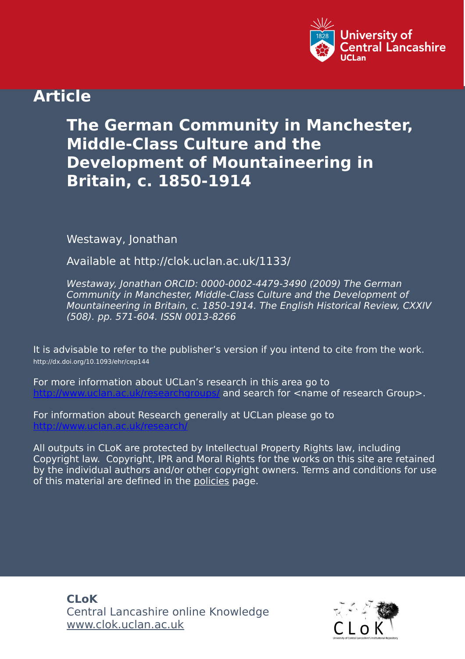

## **Article**

## **The German Community in Manchester, Middle-Class Culture and the Development of Mountaineering in Britain, c. 1850-1914**

Westaway, Jonathan

Available at http://clok.uclan.ac.uk/1133/

Westaway, Jonathan ORCID: 0000-0002-4479-3490 (2009) The German Community in Manchester, Middle-Class Culture and the Development of Mountaineering in Britain, c. 1850-1914. The English Historical Review, CXXIV (508). pp. 571-604. ISSN 0013-8266

It is advisable to refer to the publisher's version if you intend to cite from the work. http://dx.doi.org/10.1093/ehr/cep144

For more information about UCLan's research in this area go to and search for <name of research Group>.

For information about Research generally at UCLan please go to <http://www.uclan.ac.uk/research/>

All outputs in CLoK are protected by Intellectual Property Rights law, including Copyright law. Copyright, IPR and Moral Rights for the works on this site are retained by the individual authors and/or other copyright owners. Terms and conditions for use of this material are defined in the [policies](https://clok.uclan.ac.uk/policies.html) page.

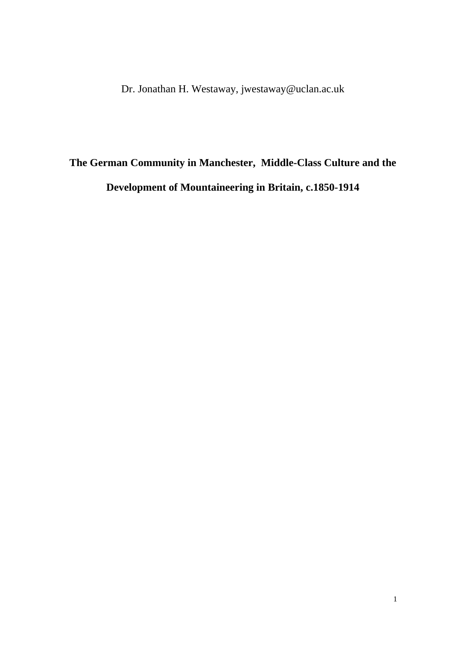Dr. Jonathan H. Westaway, jwestaway@uclan.ac.uk

## **The German Community in Manchester, Middle-Class Culture and the Development of Mountaineering in Britain, c.1850-1914**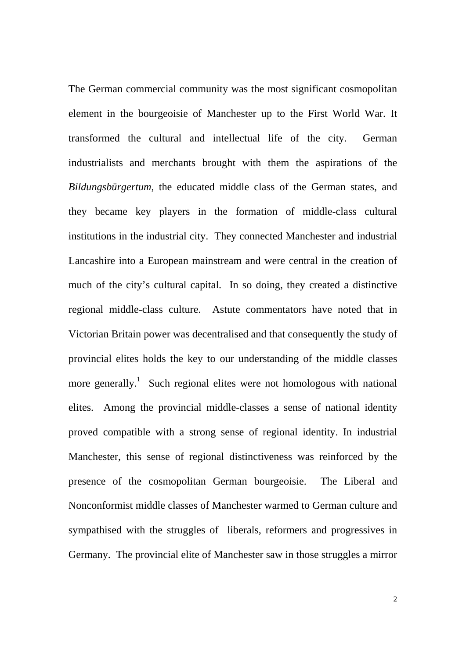The German commercial community was the most significant cosmopolitan element in the bourgeoisie of Manchester up to the First World War. It transformed the cultural and intellectual life of the city. German industrialists and merchants brought with them the aspirations of the *Bildungsbürgertum*, the educated middle class of the German states, and they became key players in the formation of middle-class cultural institutions in the industrial city. They connected Manchester and industrial Lancashire into a European mainstream and were central in the creation of much of the city's cultural capital. In so doing, they created a distinctive regional middle-class culture. Astute commentators have noted that in Victorian Britain power was decentralised and that consequently the study of provincial elites holds the key to our understanding of the middle classes more generally.<sup>1</sup> Such regional elites were not homologous with national elites. Among the provincial middle-classes a sense of national identity proved compatible with a strong sense of regional identity. In industrial Manchester, this sense of regional distinctiveness was reinforced by the presence of the cosmopolitan German bourgeoisie. The Liberal and Nonconformist middle classes of Manchester warmed to German culture and sympathised with the struggles of liberals, reformers and progressives in Germany. The provincial elite of Manchester saw in those struggles a mirror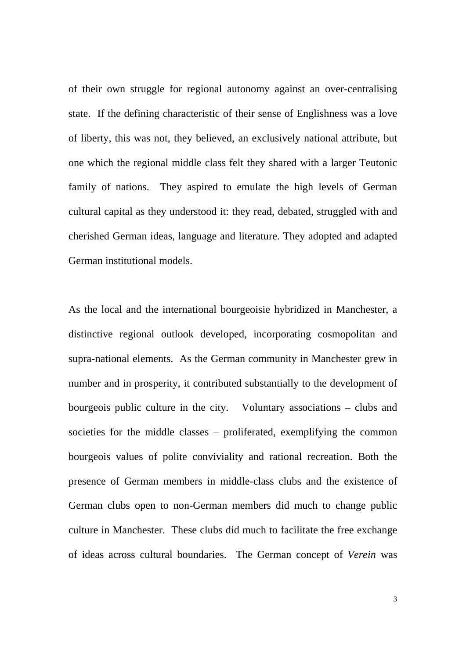of their own struggle for regional autonomy against an over-centralising state. If the defining characteristic of their sense of Englishness was a love of liberty, this was not, they believed, an exclusively national attribute, but one which the regional middle class felt they shared with a larger Teutonic family of nations. They aspired to emulate the high levels of German cultural capital as they understood it: they read, debated, struggled with and cherished German ideas, language and literature. They adopted and adapted German institutional models.

As the local and the international bourgeoisie hybridized in Manchester, a distinctive regional outlook developed, incorporating cosmopolitan and supra-national elements. As the German community in Manchester grew in number and in prosperity, it contributed substantially to the development of bourgeois public culture in the city. Voluntary associations – clubs and societies for the middle classes – proliferated, exemplifying the common bourgeois values of polite conviviality and rational recreation. Both the presence of German members in middle-class clubs and the existence of German clubs open to non-German members did much to change public culture in Manchester. These clubs did much to facilitate the free exchange of ideas across cultural boundaries. The German concept of *Verein* was

3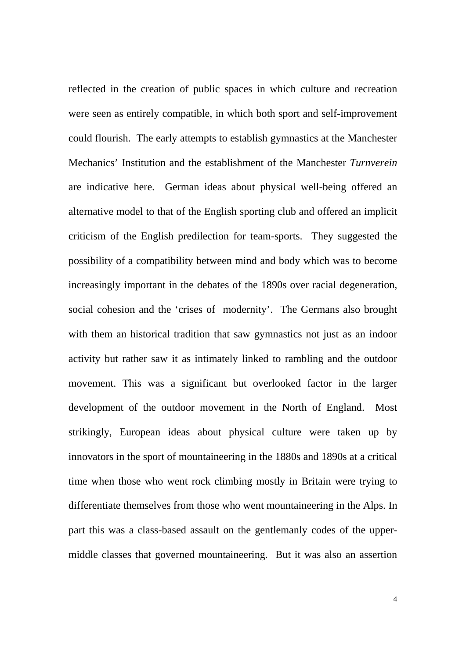reflected in the creation of public spaces in which culture and recreation were seen as entirely compatible, in which both sport and self-improvement could flourish. The early attempts to establish gymnastics at the Manchester Mechanics' Institution and the establishment of the Manchester *Turnverein* are indicative here. German ideas about physical well-being offered an alternative model to that of the English sporting club and offered an implicit criticism of the English predilection for team-sports. They suggested the possibility of a compatibility between mind and body which was to become increasingly important in the debates of the 1890s over racial degeneration, social cohesion and the 'crises of modernity'. The Germans also brought with them an historical tradition that saw gymnastics not just as an indoor activity but rather saw it as intimately linked to rambling and the outdoor movement. This was a significant but overlooked factor in the larger development of the outdoor movement in the North of England. Most strikingly, European ideas about physical culture were taken up by innovators in the sport of mountaineering in the 1880s and 1890s at a critical time when those who went rock climbing mostly in Britain were trying to differentiate themselves from those who went mountaineering in the Alps. In part this was a class-based assault on the gentlemanly codes of the uppermiddle classes that governed mountaineering. But it was also an assertion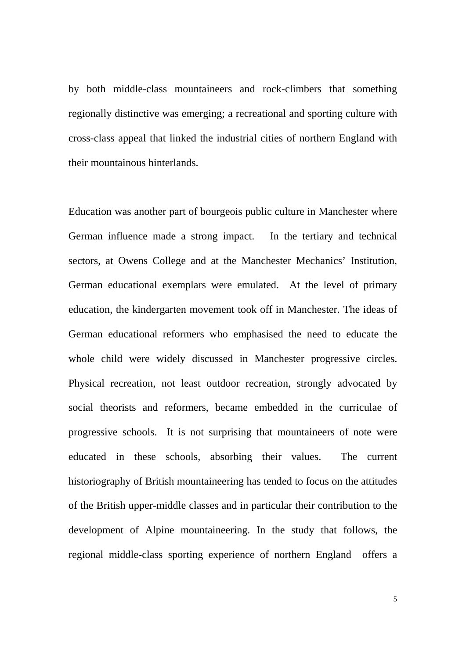by both middle-class mountaineers and rock-climbers that something regionally distinctive was emerging; a recreational and sporting culture with cross-class appeal that linked the industrial cities of northern England with their mountainous hinterlands.

Education was another part of bourgeois public culture in Manchester where German influence made a strong impact. In the tertiary and technical sectors, at Owens College and at the Manchester Mechanics' Institution, German educational exemplars were emulated. At the level of primary education, the kindergarten movement took off in Manchester. The ideas of German educational reformers who emphasised the need to educate the whole child were widely discussed in Manchester progressive circles. Physical recreation, not least outdoor recreation, strongly advocated by social theorists and reformers, became embedded in the curriculae of progressive schools. It is not surprising that mountaineers of note were educated in these schools, absorbing their values. The current historiography of British mountaineering has tended to focus on the attitudes of the British upper-middle classes and in particular their contribution to the development of Alpine mountaineering. In the study that follows, the regional middle-class sporting experience of northern England offers a

5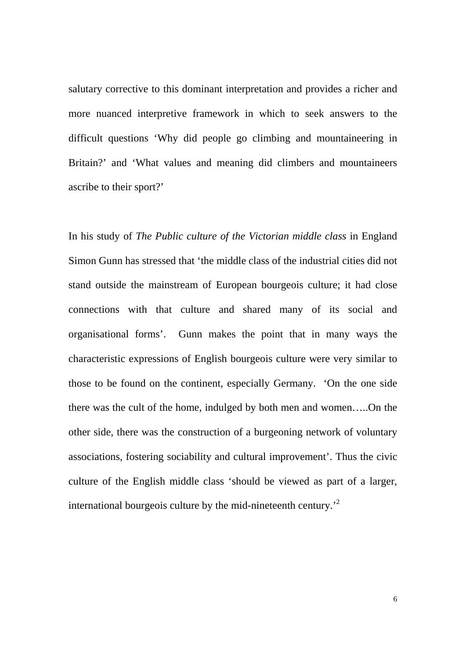salutary corrective to this dominant interpretation and provides a richer and more nuanced interpretive framework in which to seek answers to the difficult questions 'Why did people go climbing and mountaineering in Britain?' and 'What values and meaning did climbers and mountaineers ascribe to their sport?'

In his study of *The Public culture of the Victorian middle class* in England Simon Gunn has stressed that 'the middle class of the industrial cities did not stand outside the mainstream of European bourgeois culture; it had close connections with that culture and shared many of its social and organisational forms'. Gunn makes the point that in many ways the characteristic expressions of English bourgeois culture were very similar to those to be found on the continent, especially Germany. 'On the one side there was the cult of the home, indulged by both men and women…..On the other side, there was the construction of a burgeoning network of voluntary associations, fostering sociability and cultural improvement'. Thus the civic culture of the English middle class 'should be viewed as part of a larger, international bourgeois culture by the mid-nineteenth century.'2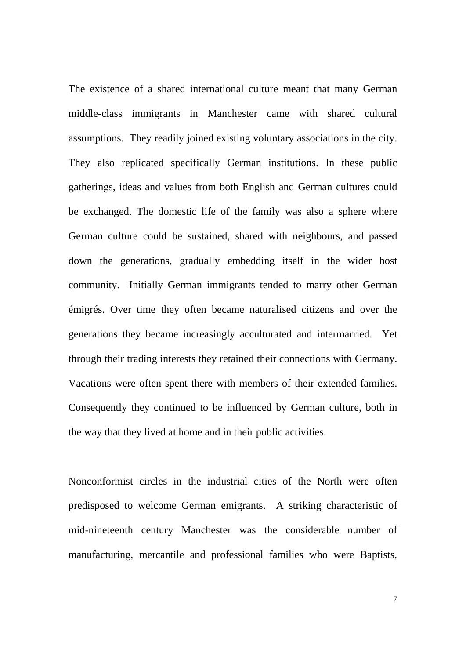The existence of a shared international culture meant that many German middle-class immigrants in Manchester came with shared cultural assumptions. They readily joined existing voluntary associations in the city. They also replicated specifically German institutions. In these public gatherings, ideas and values from both English and German cultures could be exchanged. The domestic life of the family was also a sphere where German culture could be sustained, shared with neighbours, and passed down the generations, gradually embedding itself in the wider host community. Initially German immigrants tended to marry other German émigrés. Over time they often became naturalised citizens and over the generations they became increasingly acculturated and intermarried. Yet through their trading interests they retained their connections with Germany. Vacations were often spent there with members of their extended families. Consequently they continued to be influenced by German culture, both in the way that they lived at home and in their public activities.

Nonconformist circles in the industrial cities of the North were often predisposed to welcome German emigrants. A striking characteristic of mid-nineteenth century Manchester was the considerable number of manufacturing, mercantile and professional families who were Baptists,

7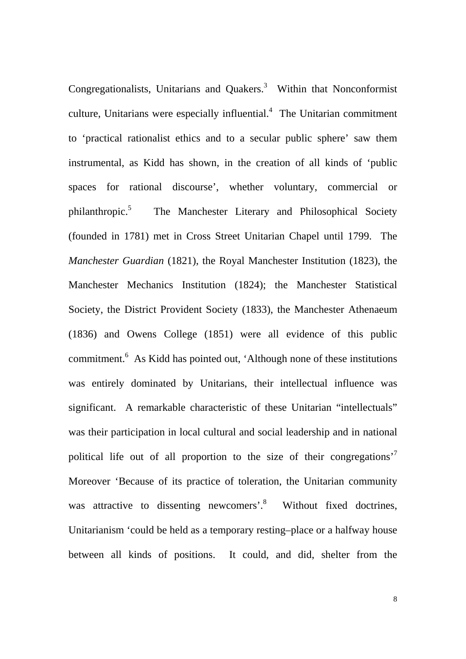Congregationalists, Unitarians and Quakers.<sup>3</sup> Within that Nonconformist culture, Unitarians were especially influential. $4$  The Unitarian commitment to 'practical rationalist ethics and to a secular public sphere' saw them instrumental, as Kidd has shown, in the creation of all kinds of 'public spaces for rational discourse', whether voluntary, commercial or philanthropic.5 The Manchester Literary and Philosophical Society (founded in 1781) met in Cross Street Unitarian Chapel until 1799. The *Manchester Guardian* (1821), the Royal Manchester Institution (1823), the Manchester Mechanics Institution (1824); the Manchester Statistical Society, the District Provident Society (1833), the Manchester Athenaeum (1836) and Owens College (1851) were all evidence of this public commitment.<sup>6</sup> As Kidd has pointed out, 'Although none of these institutions was entirely dominated by Unitarians, their intellectual influence was significant. A remarkable characteristic of these Unitarian "intellectuals" was their participation in local cultural and social leadership and in national political life out of all proportion to the size of their congregations'<sup>7</sup> Moreover 'Because of its practice of toleration, the Unitarian community was attractive to dissenting newcomers'.<sup>8</sup> Without fixed doctrines, Unitarianism 'could be held as a temporary resting–place or a halfway house between all kinds of positions. It could, and did, shelter from the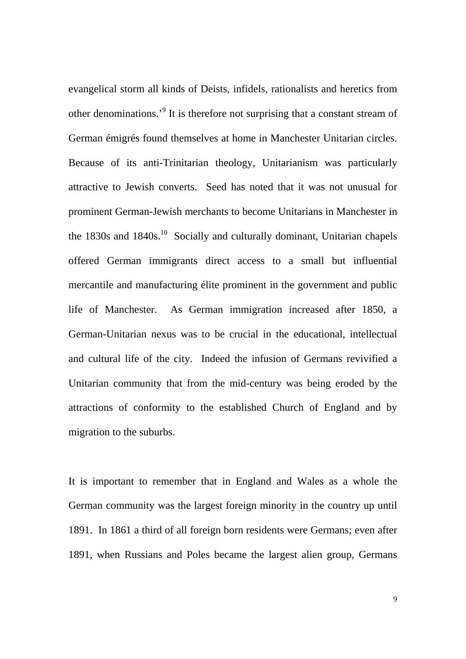evangelical storm all kinds of Deists, infidels, rationalists and heretics from other denominations.<sup>9</sup> It is therefore not surprising that a constant stream of German émigrés found themselves at home in Manchester Unitarian circles. Because of its anti-Trinitarian theology, Unitarianism was particularly attractive to Jewish converts. Seed has noted that it was not unusual for prominent German-Jewish merchants to become Unitarians in Manchester in the  $1830s$  and  $1840s$ <sup>10</sup> Socially and culturally dominant, Unitarian chapels offered German immigrants direct access to a small but influential mercantile and manufacturing élite prominent in the government and public life of Manchester. As German immigration increased after 1850, a German-Unitarian nexus was to be crucial in the educational, intellectual and cultural life of the city. Indeed the infusion of Germans revivified a Unitarian community that from the mid-century was being eroded by the attractions of conformity to the established Church of England and by migration to the suburbs.

It is important to remember that in England and Wales as a whole the German community was the largest foreign minority in the country up until 1891. In 1861 a third of all foreign born residents were Germans; even after 1891, when Russians and Poles became the largest alien group, Germans

9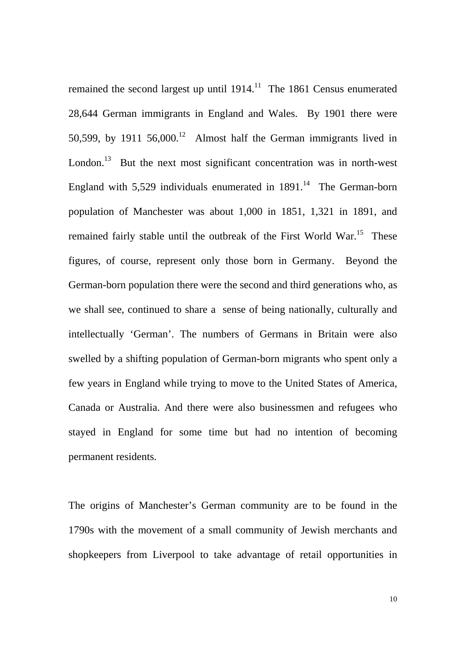remained the second largest up until  $1914$ .<sup>11</sup> The 1861 Census enumerated 28,644 German immigrants in England and Wales. By 1901 there were 50,599, by 1911  $56,000$ .<sup>12</sup> Almost half the German immigrants lived in London.<sup>13</sup> But the next most significant concentration was in north-west England with  $5,529$  individuals enumerated in  $1891<sup>14</sup>$  The German-born population of Manchester was about 1,000 in 1851, 1,321 in 1891, and remained fairly stable until the outbreak of the First World War.<sup>15</sup> These figures, of course, represent only those born in Germany. Beyond the German-born population there were the second and third generations who, as we shall see, continued to share a sense of being nationally, culturally and intellectually 'German'. The numbers of Germans in Britain were also swelled by a shifting population of German-born migrants who spent only a few years in England while trying to move to the United States of America, Canada or Australia. And there were also businessmen and refugees who stayed in England for some time but had no intention of becoming permanent residents.

The origins of Manchester's German community are to be found in the 1790s with the movement of a small community of Jewish merchants and shopkeepers from Liverpool to take advantage of retail opportunities in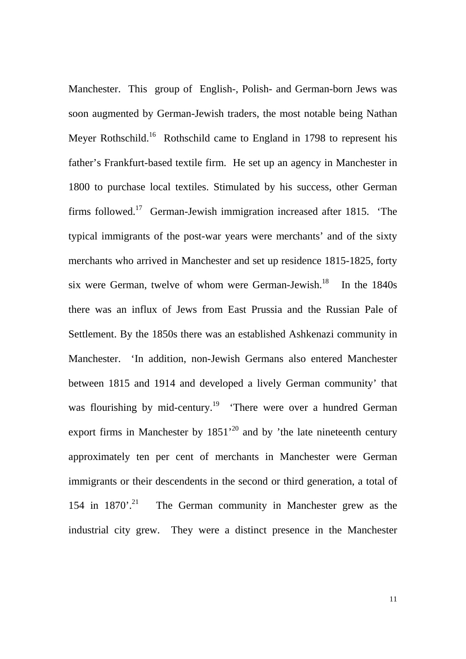Manchester. This group of English-, Polish- and German-born Jews was soon augmented by German-Jewish traders, the most notable being Nathan Meyer Rothschild.<sup>16</sup> Rothschild came to England in 1798 to represent his father's Frankfurt-based textile firm. He set up an agency in Manchester in 1800 to purchase local textiles. Stimulated by his success, other German firms followed.17 German-Jewish immigration increased after 1815. 'The typical immigrants of the post-war years were merchants' and of the sixty merchants who arrived in Manchester and set up residence 1815-1825, forty six were German, twelve of whom were German-Jewish.<sup>18</sup> In the  $1840s$ there was an influx of Jews from East Prussia and the Russian Pale of Settlement. By the 1850s there was an established Ashkenazi community in Manchester. 'In addition, non-Jewish Germans also entered Manchester between 1815 and 1914 and developed a lively German community' that was flourishing by mid-century.<sup>19</sup> 'There were over a hundred German export firms in Manchester by  $1851<sup>20</sup>$  and by 'the late nineteenth century approximately ten per cent of merchants in Manchester were German immigrants or their descendents in the second or third generation, a total of 154 in  $1870'$ .<sup>21</sup> The German community in Manchester grew as the industrial city grew. They were a distinct presence in the Manchester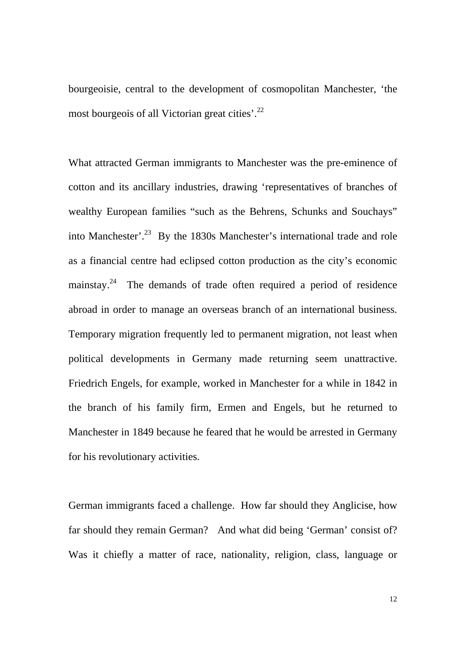bourgeoisie, central to the development of cosmopolitan Manchester, 'the most bourgeois of all Victorian great cities'.<sup>22</sup>

What attracted German immigrants to Manchester was the pre-eminence of cotton and its ancillary industries, drawing 'representatives of branches of wealthy European families "such as the Behrens, Schunks and Souchays" into Manchester'.<sup>23</sup> By the 1830s Manchester's international trade and role as a financial centre had eclipsed cotton production as the city's economic mainstay.<sup>24</sup> The demands of trade often required a period of residence abroad in order to manage an overseas branch of an international business. Temporary migration frequently led to permanent migration, not least when political developments in Germany made returning seem unattractive. Friedrich Engels, for example, worked in Manchester for a while in 1842 in the branch of his family firm, Ermen and Engels, but he returned to Manchester in 1849 because he feared that he would be arrested in Germany for his revolutionary activities.

German immigrants faced a challenge. How far should they Anglicise, how far should they remain German? And what did being 'German' consist of? Was it chiefly a matter of race, nationality, religion, class, language or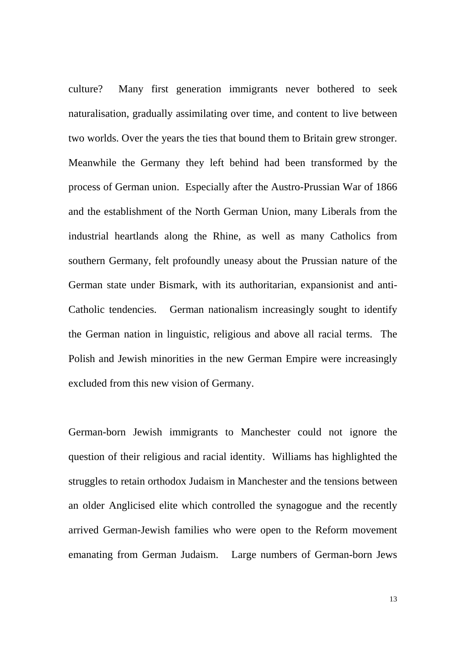culture? Many first generation immigrants never bothered to seek naturalisation, gradually assimilating over time, and content to live between two worlds. Over the years the ties that bound them to Britain grew stronger. Meanwhile the Germany they left behind had been transformed by the process of German union. Especially after the Austro-Prussian War of 1866 and the establishment of the North German Union, many Liberals from the industrial heartlands along the Rhine, as well as many Catholics from southern Germany, felt profoundly uneasy about the Prussian nature of the German state under Bismark, with its authoritarian, expansionist and anti-Catholic tendencies. German nationalism increasingly sought to identify the German nation in linguistic, religious and above all racial terms. The Polish and Jewish minorities in the new German Empire were increasingly excluded from this new vision of Germany.

German-born Jewish immigrants to Manchester could not ignore the question of their religious and racial identity. Williams has highlighted the struggles to retain orthodox Judaism in Manchester and the tensions between an older Anglicised elite which controlled the synagogue and the recently arrived German-Jewish families who were open to the Reform movement emanating from German Judaism. Large numbers of German-born Jews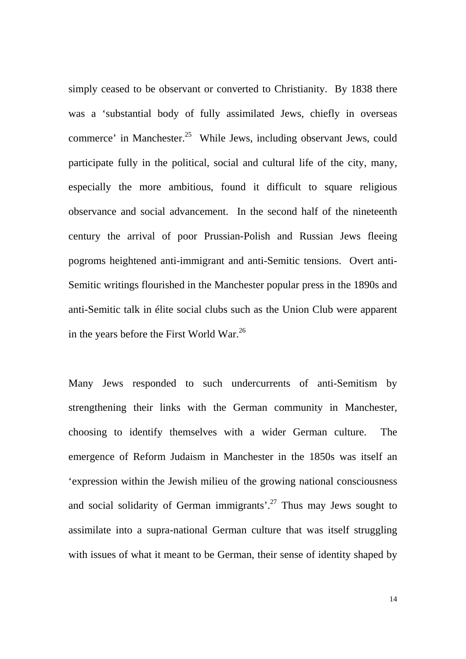simply ceased to be observant or converted to Christianity. By 1838 there was a 'substantial body of fully assimilated Jews, chiefly in overseas commerce' in Manchester.<sup>25</sup> While Jews, including observant Jews, could participate fully in the political, social and cultural life of the city, many, especially the more ambitious, found it difficult to square religious observance and social advancement. In the second half of the nineteenth century the arrival of poor Prussian-Polish and Russian Jews fleeing pogroms heightened anti-immigrant and anti-Semitic tensions. Overt anti-Semitic writings flourished in the Manchester popular press in the 1890s and anti-Semitic talk in élite social clubs such as the Union Club were apparent in the years before the First World War. $^{26}$ 

Many Jews responded to such undercurrents of anti-Semitism by strengthening their links with the German community in Manchester, choosing to identify themselves with a wider German culture. The emergence of Reform Judaism in Manchester in the 1850s was itself an 'expression within the Jewish milieu of the growing national consciousness and social solidarity of German immigrants'.<sup>27</sup> Thus may Jews sought to assimilate into a supra-national German culture that was itself struggling with issues of what it meant to be German, their sense of identity shaped by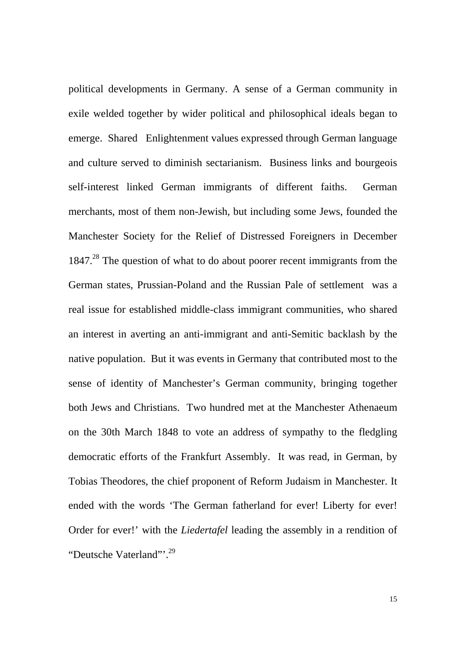political developments in Germany. A sense of a German community in exile welded together by wider political and philosophical ideals began to emerge. Shared Enlightenment values expressed through German language and culture served to diminish sectarianism. Business links and bourgeois self-interest linked German immigrants of different faiths. German merchants, most of them non-Jewish, but including some Jews, founded the Manchester Society for the Relief of Distressed Foreigners in December 1847.<sup>28</sup> The question of what to do about poorer recent immigrants from the German states, Prussian-Poland and the Russian Pale of settlement was a real issue for established middle-class immigrant communities, who shared an interest in averting an anti-immigrant and anti-Semitic backlash by the native population. But it was events in Germany that contributed most to the sense of identity of Manchester's German community, bringing together both Jews and Christians. Two hundred met at the Manchester Athenaeum on the 30th March 1848 to vote an address of sympathy to the fledgling democratic efforts of the Frankfurt Assembly. It was read, in German, by Tobias Theodores, the chief proponent of Reform Judaism in Manchester. It ended with the words 'The German fatherland for ever! Liberty for ever! Order for ever!' with the *Liedertafel* leading the assembly in a rendition of "Deutsche Vaterland"'.<sup>29</sup>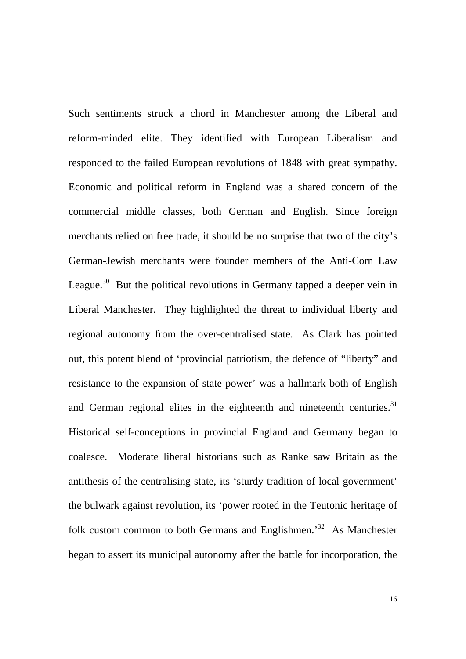Such sentiments struck a chord in Manchester among the Liberal and reform-minded elite. They identified with European Liberalism and responded to the failed European revolutions of 1848 with great sympathy. Economic and political reform in England was a shared concern of the commercial middle classes, both German and English. Since foreign merchants relied on free trade, it should be no surprise that two of the city's German-Jewish merchants were founder members of the Anti-Corn Law League.<sup>30</sup> But the political revolutions in Germany tapped a deeper vein in Liberal Manchester. They highlighted the threat to individual liberty and regional autonomy from the over-centralised state. As Clark has pointed out, this potent blend of 'provincial patriotism, the defence of "liberty" and resistance to the expansion of state power' was a hallmark both of English and German regional elites in the eighteenth and nineteenth centuries.<sup>31</sup> Historical self-conceptions in provincial England and Germany began to coalesce. Moderate liberal historians such as Ranke saw Britain as the antithesis of the centralising state, its 'sturdy tradition of local government' the bulwark against revolution, its 'power rooted in the Teutonic heritage of folk custom common to both Germans and Englishmen.'32 As Manchester began to assert its municipal autonomy after the battle for incorporation, the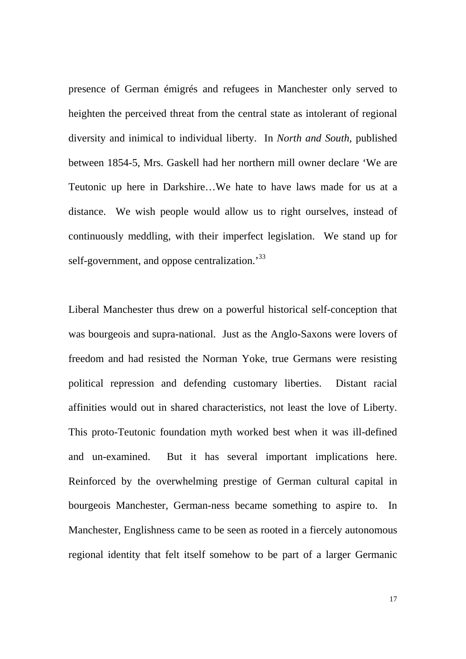presence of German émigrés and refugees in Manchester only served to heighten the perceived threat from the central state as intolerant of regional diversity and inimical to individual liberty. In *North and South,* published between 1854-5, Mrs. Gaskell had her northern mill owner declare 'We are Teutonic up here in Darkshire…We hate to have laws made for us at a distance. We wish people would allow us to right ourselves, instead of continuously meddling, with their imperfect legislation. We stand up for self-government, and oppose centralization.<sup>33</sup>

Liberal Manchester thus drew on a powerful historical self-conception that was bourgeois and supra-national. Just as the Anglo-Saxons were lovers of freedom and had resisted the Norman Yoke, true Germans were resisting political repression and defending customary liberties. Distant racial affinities would out in shared characteristics, not least the love of Liberty. This proto-Teutonic foundation myth worked best when it was ill-defined and un-examined. But it has several important implications here. Reinforced by the overwhelming prestige of German cultural capital in bourgeois Manchester, German-ness became something to aspire to. In Manchester, Englishness came to be seen as rooted in a fiercely autonomous regional identity that felt itself somehow to be part of a larger Germanic

17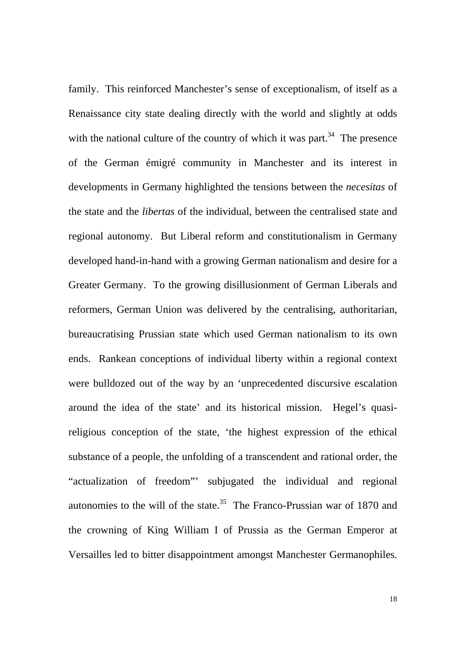family. This reinforced Manchester's sense of exceptionalism, of itself as a Renaissance city state dealing directly with the world and slightly at odds with the national culture of the country of which it was part.<sup>34</sup> The presence of the German émigré community in Manchester and its interest in developments in Germany highlighted the tensions between the *necesitas* of the state and the *libertas* of the individual, between the centralised state and regional autonomy. But Liberal reform and constitutionalism in Germany developed hand-in-hand with a growing German nationalism and desire for a Greater Germany. To the growing disillusionment of German Liberals and reformers, German Union was delivered by the centralising, authoritarian, bureaucratising Prussian state which used German nationalism to its own ends. Rankean conceptions of individual liberty within a regional context were bulldozed out of the way by an 'unprecedented discursive escalation around the idea of the state' and its historical mission. Hegel's quasireligious conception of the state, 'the highest expression of the ethical substance of a people, the unfolding of a transcendent and rational order, the "actualization of freedom"' subjugated the individual and regional autonomies to the will of the state.<sup>35</sup> The Franco-Prussian war of 1870 and the crowning of King William I of Prussia as the German Emperor at Versailles led to bitter disappointment amongst Manchester Germanophiles.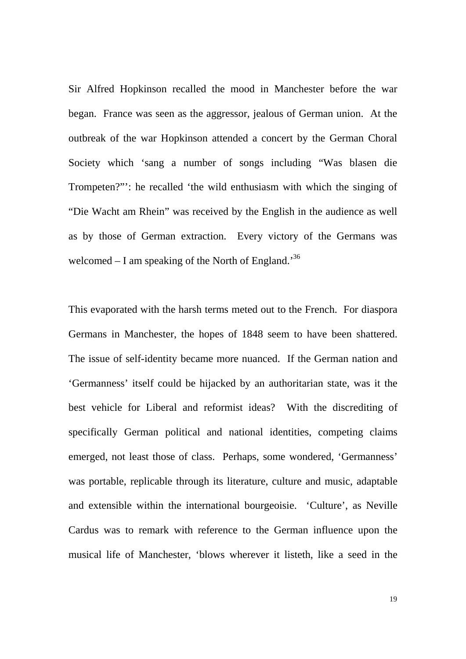Sir Alfred Hopkinson recalled the mood in Manchester before the war began. France was seen as the aggressor, jealous of German union. At the outbreak of the war Hopkinson attended a concert by the German Choral Society which 'sang a number of songs including "Was blasen die Trompeten?"': he recalled 'the wild enthusiasm with which the singing of "Die Wacht am Rhein" was received by the English in the audience as well as by those of German extraction. Every victory of the Germans was welcomed  $- I$  am speaking of the North of England.<sup>36</sup>

This evaporated with the harsh terms meted out to the French. For diaspora Germans in Manchester, the hopes of 1848 seem to have been shattered. The issue of self-identity became more nuanced. If the German nation and 'Germanness' itself could be hijacked by an authoritarian state, was it the best vehicle for Liberal and reformist ideas? With the discrediting of specifically German political and national identities, competing claims emerged, not least those of class. Perhaps, some wondered, 'Germanness' was portable, replicable through its literature, culture and music, adaptable and extensible within the international bourgeoisie. 'Culture', as Neville Cardus was to remark with reference to the German influence upon the musical life of Manchester, 'blows wherever it listeth, like a seed in the

19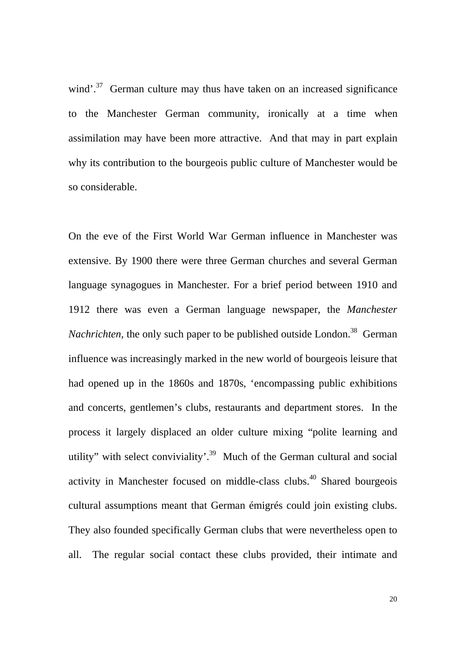wind'. $37$  German culture may thus have taken on an increased significance to the Manchester German community, ironically at a time when assimilation may have been more attractive. And that may in part explain why its contribution to the bourgeois public culture of Manchester would be so considerable.

On the eve of the First World War German influence in Manchester was extensive. By 1900 there were three German churches and several German language synagogues in Manchester. For a brief period between 1910 and 1912 there was even a German language newspaper, the *Manchester Nachrichten*, the only such paper to be published outside London.<sup>38</sup> German influence was increasingly marked in the new world of bourgeois leisure that had opened up in the 1860s and 1870s, 'encompassing public exhibitions and concerts, gentlemen's clubs, restaurants and department stores. In the process it largely displaced an older culture mixing "polite learning and utility" with select conviviality'.<sup>39</sup> Much of the German cultural and social activity in Manchester focused on middle-class clubs.<sup>40</sup> Shared bourgeois cultural assumptions meant that German émigrés could join existing clubs. They also founded specifically German clubs that were nevertheless open to all. The regular social contact these clubs provided, their intimate and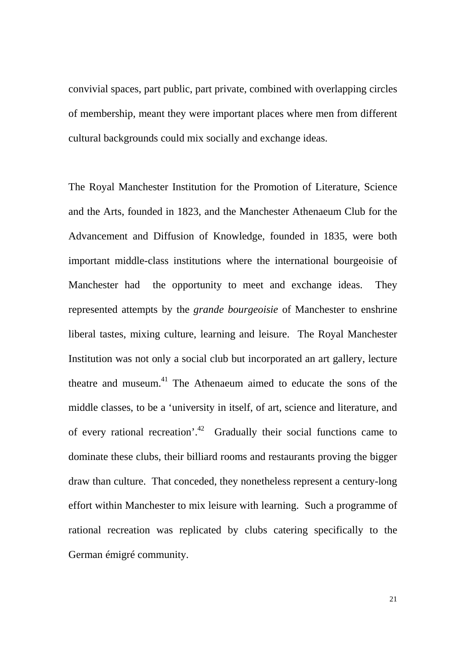convivial spaces, part public, part private, combined with overlapping circles of membership, meant they were important places where men from different cultural backgrounds could mix socially and exchange ideas.

The Royal Manchester Institution for the Promotion of Literature, Science and the Arts, founded in 1823, and the Manchester Athenaeum Club for the Advancement and Diffusion of Knowledge, founded in 1835, were both important middle-class institutions where the international bourgeoisie of Manchester had the opportunity to meet and exchange ideas. They represented attempts by the *grande bourgeoisie* of Manchester to enshrine liberal tastes, mixing culture, learning and leisure. The Royal Manchester Institution was not only a social club but incorporated an art gallery, lecture theatre and museum.41 The Athenaeum aimed to educate the sons of the middle classes, to be a 'university in itself, of art, science and literature, and of every rational recreation'.<sup>42</sup> Gradually their social functions came to dominate these clubs, their billiard rooms and restaurants proving the bigger draw than culture. That conceded, they nonetheless represent a century-long effort within Manchester to mix leisure with learning. Such a programme of rational recreation was replicated by clubs catering specifically to the German émigré community.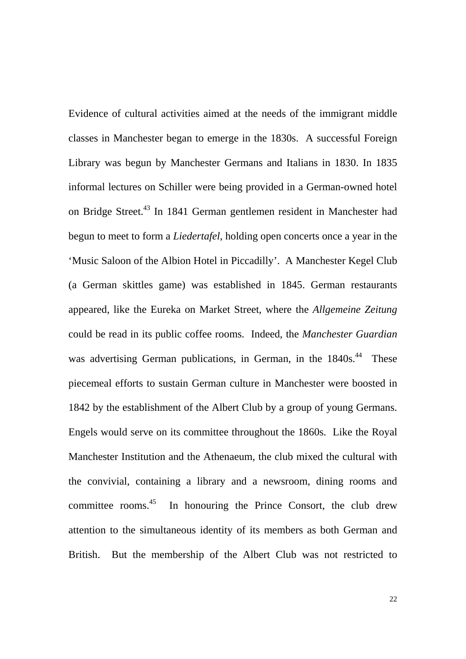Evidence of cultural activities aimed at the needs of the immigrant middle classes in Manchester began to emerge in the 1830s. A successful Foreign Library was begun by Manchester Germans and Italians in 1830. In 1835 informal lectures on Schiller were being provided in a German-owned hotel on Bridge Street.43 In 1841 German gentlemen resident in Manchester had begun to meet to form a *Liedertafel*, holding open concerts once a year in the 'Music Saloon of the Albion Hotel in Piccadilly'. A Manchester Kegel Club (a German skittles game) was established in 1845. German restaurants appeared, like the Eureka on Market Street, where the *Allgemeine Zeitung* could be read in its public coffee rooms. Indeed, the *Manchester Guardian* was advertising German publications, in German, in the 1840s.<sup>44</sup> These piecemeal efforts to sustain German culture in Manchester were boosted in 1842 by the establishment of the Albert Club by a group of young Germans. Engels would serve on its committee throughout the 1860s. Like the Royal Manchester Institution and the Athenaeum, the club mixed the cultural with the convivial, containing a library and a newsroom, dining rooms and committee rooms.<sup>45</sup> In honouring the Prince Consort, the club drew attention to the simultaneous identity of its members as both German and British. But the membership of the Albert Club was not restricted to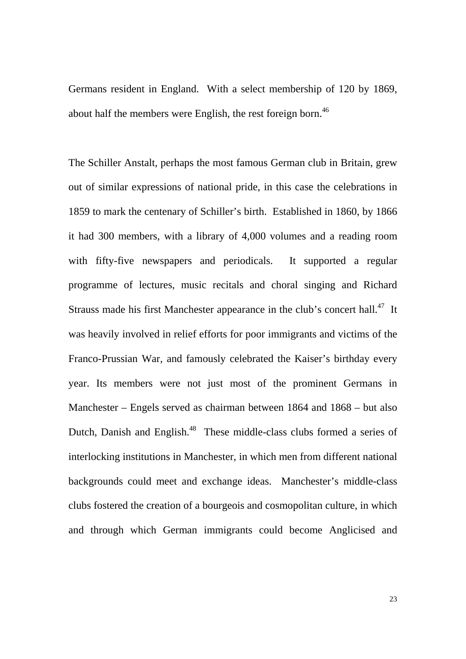Germans resident in England. With a select membership of 120 by 1869, about half the members were English, the rest foreign born.<sup>46</sup>

The Schiller Anstalt, perhaps the most famous German club in Britain, grew out of similar expressions of national pride, in this case the celebrations in 1859 to mark the centenary of Schiller's birth. Established in 1860, by 1866 it had 300 members, with a library of 4,000 volumes and a reading room with fifty-five newspapers and periodicals. It supported a regular programme of lectures, music recitals and choral singing and Richard Strauss made his first Manchester appearance in the club's concert hall.<sup>47</sup> It was heavily involved in relief efforts for poor immigrants and victims of the Franco-Prussian War, and famously celebrated the Kaiser's birthday every year. Its members were not just most of the prominent Germans in Manchester – Engels served as chairman between 1864 and 1868 – but also Dutch, Danish and English.<sup>48</sup> These middle-class clubs formed a series of interlocking institutions in Manchester, in which men from different national backgrounds could meet and exchange ideas. Manchester's middle-class clubs fostered the creation of a bourgeois and cosmopolitan culture, in which and through which German immigrants could become Anglicised and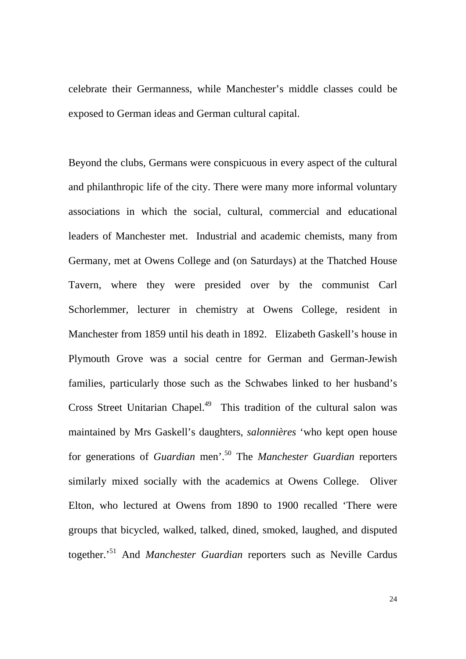celebrate their Germanness, while Manchester's middle classes could be exposed to German ideas and German cultural capital.

Beyond the clubs, Germans were conspicuous in every aspect of the cultural and philanthropic life of the city. There were many more informal voluntary associations in which the social, cultural, commercial and educational leaders of Manchester met. Industrial and academic chemists, many from Germany, met at Owens College and (on Saturdays) at the Thatched House Tavern, where they were presided over by the communist Carl Schorlemmer, lecturer in chemistry at Owens College, resident in Manchester from 1859 until his death in 1892. Elizabeth Gaskell's house in Plymouth Grove was a social centre for German and German-Jewish families, particularly those such as the Schwabes linked to her husband's Cross Street Unitarian Chapel.<sup>49</sup> This tradition of the cultural salon was maintained by Mrs Gaskell's daughters, *salonnières* 'who kept open house for generations of *Guardian* men'.50 The *Manchester Guardian* reporters similarly mixed socially with the academics at Owens College. Oliver Elton, who lectured at Owens from 1890 to 1900 recalled 'There were groups that bicycled, walked, talked, dined, smoked, laughed, and disputed together.'51 And *Manchester Guardian* reporters such as Neville Cardus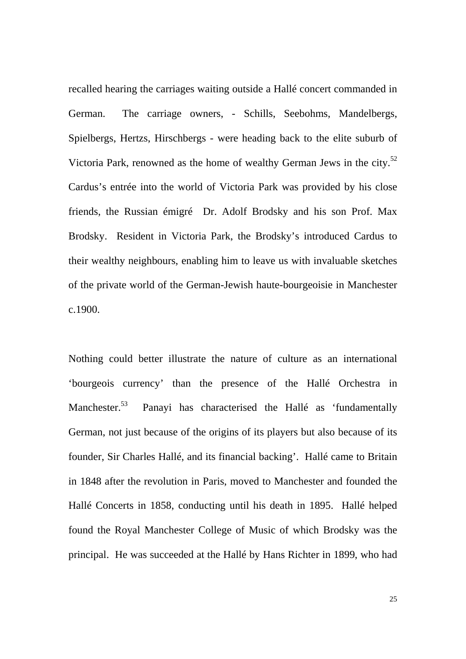recalled hearing the carriages waiting outside a Hallé concert commanded in German. The carriage owners, - Schills, Seebohms, Mandelbergs, Spielbergs, Hertzs, Hirschbergs - were heading back to the elite suburb of Victoria Park, renowned as the home of wealthy German Jews in the city.<sup>52</sup> Cardus's entrée into the world of Victoria Park was provided by his close friends, the Russian émigré Dr. Adolf Brodsky and his son Prof. Max Brodsky. Resident in Victoria Park, the Brodsky's introduced Cardus to their wealthy neighbours, enabling him to leave us with invaluable sketches of the private world of the German-Jewish haute-bourgeoisie in Manchester c.1900.

Nothing could better illustrate the nature of culture as an international 'bourgeois currency' than the presence of the Hallé Orchestra in Manchester.<sup>53</sup> Panayi has characterised the Hallé as 'fundamentally German, not just because of the origins of its players but also because of its founder, Sir Charles Hallé, and its financial backing'. Hallé came to Britain in 1848 after the revolution in Paris, moved to Manchester and founded the Hallé Concerts in 1858, conducting until his death in 1895. Hallé helped found the Royal Manchester College of Music of which Brodsky was the principal. He was succeeded at the Hallé by Hans Richter in 1899, who had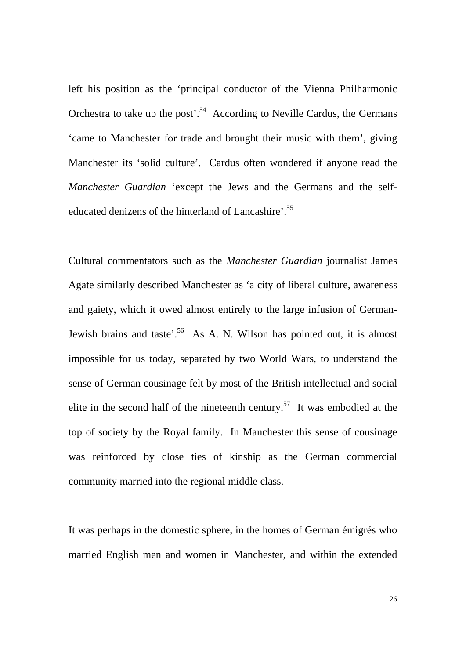left his position as the 'principal conductor of the Vienna Philharmonic Orchestra to take up the post'.<sup>54</sup> According to Neville Cardus, the Germans 'came to Manchester for trade and brought their music with them', giving Manchester its 'solid culture'. Cardus often wondered if anyone read the *Manchester Guardian* 'except the Jews and the Germans and the selfeducated denizens of the hinterland of Lancashire'.<sup>55</sup>

Cultural commentators such as the *Manchester Guardian* journalist James Agate similarly described Manchester as 'a city of liberal culture, awareness and gaiety, which it owed almost entirely to the large infusion of German-Jewish brains and taste<sup>'.56</sup> As A. N. Wilson has pointed out, it is almost impossible for us today, separated by two World Wars, to understand the sense of German cousinage felt by most of the British intellectual and social elite in the second half of the nineteenth century.<sup>57</sup> It was embodied at the top of society by the Royal family. In Manchester this sense of cousinage was reinforced by close ties of kinship as the German commercial community married into the regional middle class.

It was perhaps in the domestic sphere, in the homes of German émigrés who married English men and women in Manchester, and within the extended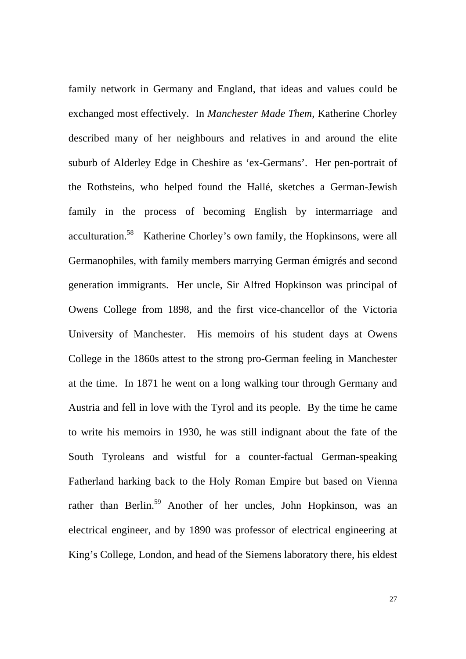family network in Germany and England, that ideas and values could be exchanged most effectively. In *Manchester Made Them*, Katherine Chorley described many of her neighbours and relatives in and around the elite suburb of Alderley Edge in Cheshire as 'ex-Germans'. Her pen-portrait of the Rothsteins, who helped found the Hallé, sketches a German-Jewish family in the process of becoming English by intermarriage and acculturation.<sup>58</sup> Katherine Chorley's own family, the Hopkinsons, were all Germanophiles, with family members marrying German émigrés and second generation immigrants. Her uncle, Sir Alfred Hopkinson was principal of Owens College from 1898, and the first vice-chancellor of the Victoria University of Manchester. His memoirs of his student days at Owens College in the 1860s attest to the strong pro-German feeling in Manchester at the time. In 1871 he went on a long walking tour through Germany and Austria and fell in love with the Tyrol and its people. By the time he came to write his memoirs in 1930, he was still indignant about the fate of the South Tyroleans and wistful for a counter-factual German-speaking Fatherland harking back to the Holy Roman Empire but based on Vienna rather than Berlin.<sup>59</sup> Another of her uncles, John Hopkinson, was an electrical engineer, and by 1890 was professor of electrical engineering at King's College, London, and head of the Siemens laboratory there, his eldest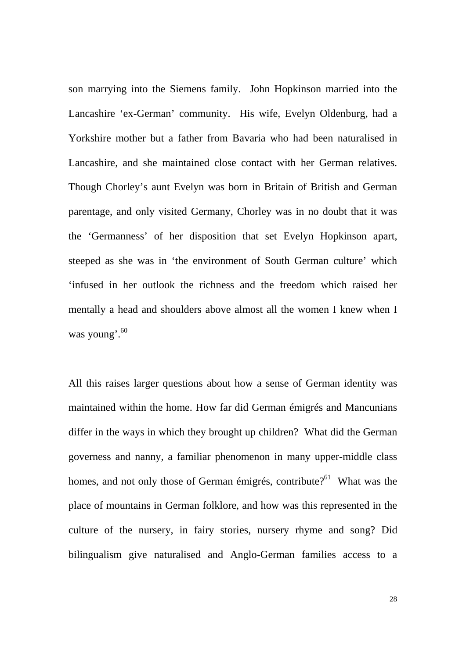son marrying into the Siemens family. John Hopkinson married into the Lancashire 'ex-German' community. His wife, Evelyn Oldenburg, had a Yorkshire mother but a father from Bavaria who had been naturalised in Lancashire, and she maintained close contact with her German relatives. Though Chorley's aunt Evelyn was born in Britain of British and German parentage, and only visited Germany, Chorley was in no doubt that it was the 'Germanness' of her disposition that set Evelyn Hopkinson apart, steeped as she was in 'the environment of South German culture' which 'infused in her outlook the richness and the freedom which raised her mentally a head and shoulders above almost all the women I knew when I was young'.<sup>60</sup>

All this raises larger questions about how a sense of German identity was maintained within the home. How far did German émigrés and Mancunians differ in the ways in which they brought up children? What did the German governess and nanny, a familiar phenomenon in many upper-middle class homes, and not only those of German émigrés, contribute?<sup>61</sup> What was the place of mountains in German folklore, and how was this represented in the culture of the nursery, in fairy stories, nursery rhyme and song? Did bilingualism give naturalised and Anglo-German families access to a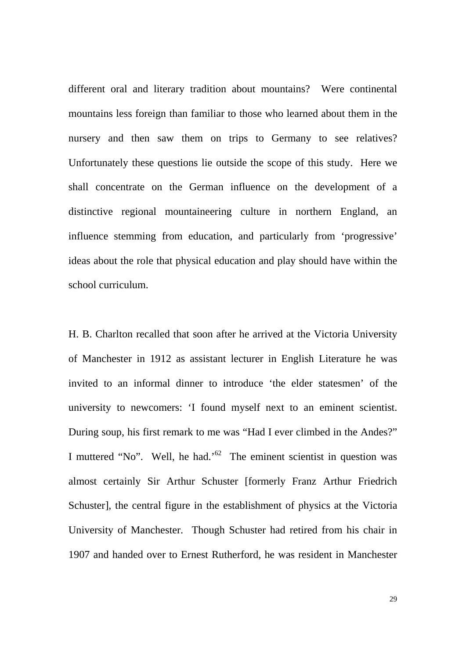different oral and literary tradition about mountains? Were continental mountains less foreign than familiar to those who learned about them in the nursery and then saw them on trips to Germany to see relatives? Unfortunately these questions lie outside the scope of this study. Here we shall concentrate on the German influence on the development of a distinctive regional mountaineering culture in northern England, an influence stemming from education, and particularly from 'progressive' ideas about the role that physical education and play should have within the school curriculum.

H. B. Charlton recalled that soon after he arrived at the Victoria University of Manchester in 1912 as assistant lecturer in English Literature he was invited to an informal dinner to introduce 'the elder statesmen' of the university to newcomers: 'I found myself next to an eminent scientist. During soup, his first remark to me was "Had I ever climbed in the Andes?" I muttered "No". Well, he had.'62 The eminent scientist in question was almost certainly Sir Arthur Schuster [formerly Franz Arthur Friedrich Schuster], the central figure in the establishment of physics at the Victoria University of Manchester. Though Schuster had retired from his chair in 1907 and handed over to Ernest Rutherford, he was resident in Manchester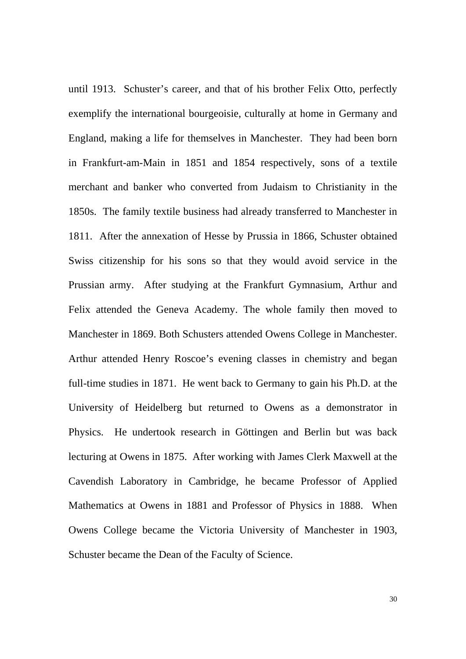until 1913. Schuster's career, and that of his brother Felix Otto, perfectly exemplify the international bourgeoisie, culturally at home in Germany and England, making a life for themselves in Manchester. They had been born in Frankfurt-am-Main in 1851 and 1854 respectively, sons of a textile merchant and banker who converted from Judaism to Christianity in the 1850s. The family textile business had already transferred to Manchester in 1811. After the annexation of Hesse by Prussia in 1866, Schuster obtained Swiss citizenship for his sons so that they would avoid service in the Prussian army. After studying at the Frankfurt Gymnasium, Arthur and Felix attended the Geneva Academy. The whole family then moved to Manchester in 1869. Both Schusters attended Owens College in Manchester. Arthur attended Henry Roscoe's evening classes in chemistry and began full-time studies in 1871. He went back to Germany to gain his Ph.D. at the University of Heidelberg but returned to Owens as a demonstrator in Physics. He undertook research in Göttingen and Berlin but was back lecturing at Owens in 1875. After working with James Clerk Maxwell at the Cavendish Laboratory in Cambridge, he became Professor of Applied Mathematics at Owens in 1881 and Professor of Physics in 1888. When Owens College became the Victoria University of Manchester in 1903, Schuster became the Dean of the Faculty of Science.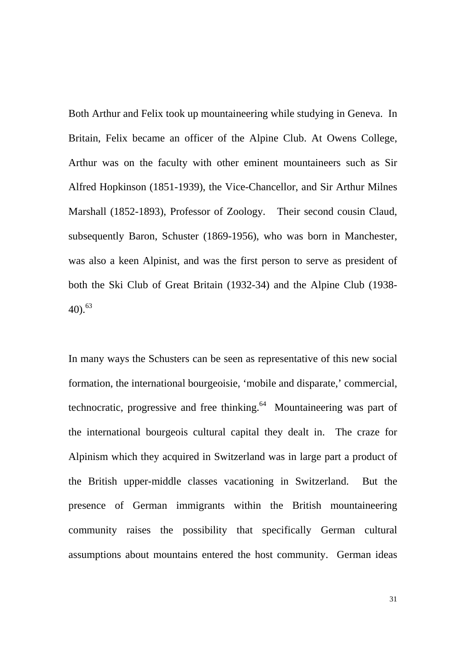Both Arthur and Felix took up mountaineering while studying in Geneva. In Britain, Felix became an officer of the Alpine Club. At Owens College, Arthur was on the faculty with other eminent mountaineers such as Sir Alfred Hopkinson (1851-1939), the Vice-Chancellor, and Sir Arthur Milnes Marshall (1852-1893), Professor of Zoology. Their second cousin Claud, subsequently Baron, Schuster (1869-1956), who was born in Manchester, was also a keen Alpinist, and was the first person to serve as president of both the Ski Club of Great Britain (1932-34) and the Alpine Club (1938-  $40.63$ 

In many ways the Schusters can be seen as representative of this new social formation, the international bourgeoisie, 'mobile and disparate,' commercial, technocratic, progressive and free thinking. $64$  Mountaineering was part of the international bourgeois cultural capital they dealt in. The craze for Alpinism which they acquired in Switzerland was in large part a product of the British upper-middle classes vacationing in Switzerland. But the presence of German immigrants within the British mountaineering community raises the possibility that specifically German cultural assumptions about mountains entered the host community. German ideas

31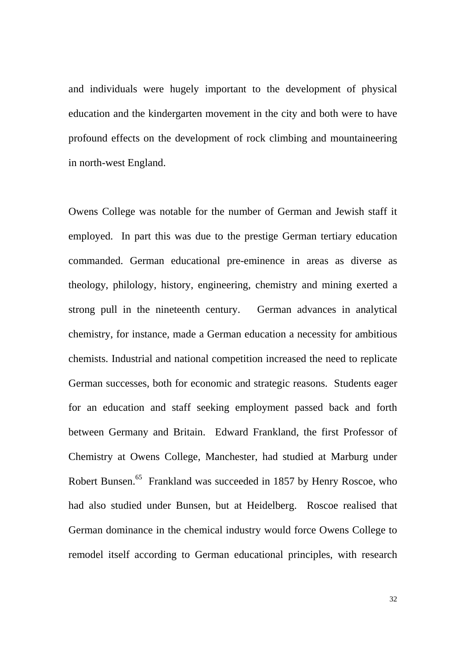and individuals were hugely important to the development of physical education and the kindergarten movement in the city and both were to have profound effects on the development of rock climbing and mountaineering in north-west England.

Owens College was notable for the number of German and Jewish staff it employed. In part this was due to the prestige German tertiary education commanded. German educational pre-eminence in areas as diverse as theology, philology, history, engineering, chemistry and mining exerted a strong pull in the nineteenth century. German advances in analytical chemistry, for instance, made a German education a necessity for ambitious chemists. Industrial and national competition increased the need to replicate German successes, both for economic and strategic reasons. Students eager for an education and staff seeking employment passed back and forth between Germany and Britain. Edward Frankland, the first Professor of Chemistry at Owens College, Manchester, had studied at Marburg under Robert Bunsen.<sup>65</sup> Frankland was succeeded in 1857 by Henry Roscoe, who had also studied under Bunsen, but at Heidelberg. Roscoe realised that German dominance in the chemical industry would force Owens College to remodel itself according to German educational principles, with research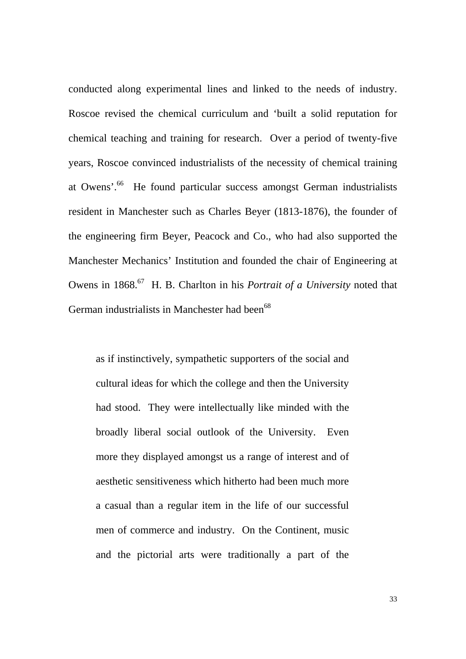conducted along experimental lines and linked to the needs of industry. Roscoe revised the chemical curriculum and 'built a solid reputation for chemical teaching and training for research. Over a period of twenty-five years, Roscoe convinced industrialists of the necessity of chemical training at Owens'.66 He found particular success amongst German industrialists resident in Manchester such as Charles Beyer (1813-1876), the founder of the engineering firm Beyer, Peacock and Co., who had also supported the Manchester Mechanics' Institution and founded the chair of Engineering at Owens in 1868.<sup>67</sup> H. B. Charlton in his *Portrait of a University* noted that German industrialists in Manchester had been<sup>68</sup>

as if instinctively, sympathetic supporters of the social and cultural ideas for which the college and then the University had stood. They were intellectually like minded with the broadly liberal social outlook of the University. Even more they displayed amongst us a range of interest and of aesthetic sensitiveness which hitherto had been much more a casual than a regular item in the life of our successful men of commerce and industry. On the Continent, music and the pictorial arts were traditionally a part of the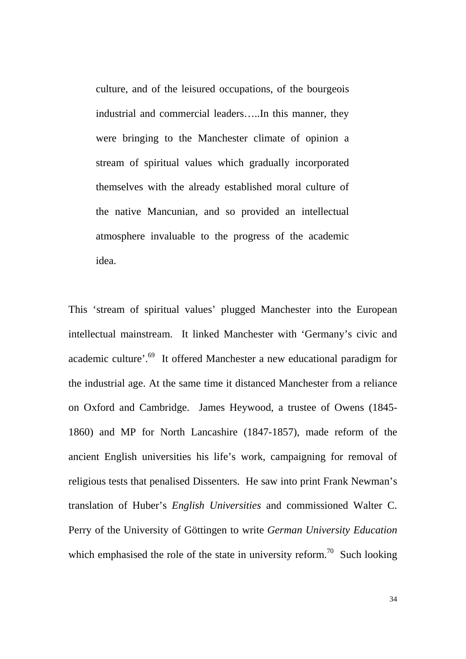culture, and of the leisured occupations, of the bourgeois industrial and commercial leaders…..In this manner, they were bringing to the Manchester climate of opinion a stream of spiritual values which gradually incorporated themselves with the already established moral culture of the native Mancunian, and so provided an intellectual atmosphere invaluable to the progress of the academic idea.

This 'stream of spiritual values' plugged Manchester into the European intellectual mainstream. It linked Manchester with 'Germany's civic and academic culture'.69 It offered Manchester a new educational paradigm for the industrial age. At the same time it distanced Manchester from a reliance on Oxford and Cambridge. James Heywood, a trustee of Owens (1845- 1860) and MP for North Lancashire (1847-1857), made reform of the ancient English universities his life's work, campaigning for removal of religious tests that penalised Dissenters. He saw into print Frank Newman's translation of Huber's *English Universities* and commissioned Walter C. Perry of the University of Göttingen to write *German University Education* which emphasised the role of the state in university reform.<sup>70</sup> Such looking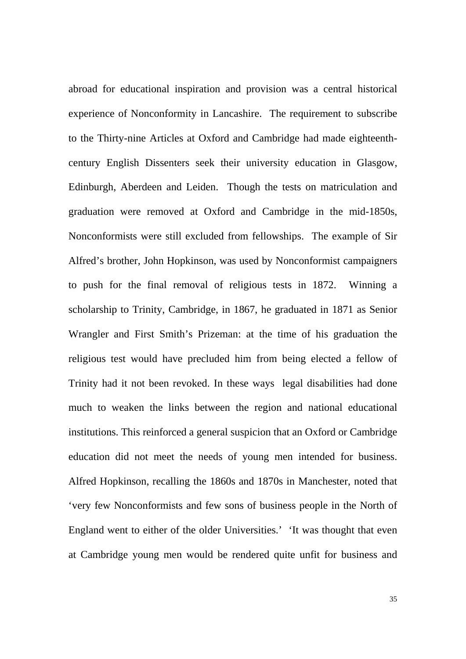abroad for educational inspiration and provision was a central historical experience of Nonconformity in Lancashire. The requirement to subscribe to the Thirty-nine Articles at Oxford and Cambridge had made eighteenthcentury English Dissenters seek their university education in Glasgow, Edinburgh, Aberdeen and Leiden. Though the tests on matriculation and graduation were removed at Oxford and Cambridge in the mid-1850s, Nonconformists were still excluded from fellowships. The example of Sir Alfred's brother, John Hopkinson, was used by Nonconformist campaigners to push for the final removal of religious tests in 1872. Winning a scholarship to Trinity, Cambridge, in 1867, he graduated in 1871 as Senior Wrangler and First Smith's Prizeman: at the time of his graduation the religious test would have precluded him from being elected a fellow of Trinity had it not been revoked. In these ways legal disabilities had done much to weaken the links between the region and national educational institutions. This reinforced a general suspicion that an Oxford or Cambridge education did not meet the needs of young men intended for business. Alfred Hopkinson, recalling the 1860s and 1870s in Manchester, noted that 'very few Nonconformists and few sons of business people in the North of England went to either of the older Universities.' 'It was thought that even at Cambridge young men would be rendered quite unfit for business and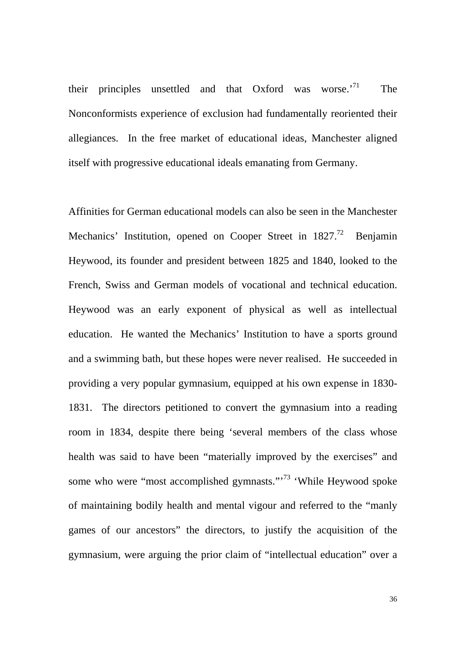their principles unsettled and that Oxford was worse.<sup>'71</sup> The Nonconformists experience of exclusion had fundamentally reoriented their allegiances. In the free market of educational ideas, Manchester aligned itself with progressive educational ideals emanating from Germany.

Affinities for German educational models can also be seen in the Manchester Mechanics' Institution, opened on Cooper Street in  $1827<sup>72</sup>$  Benjamin Heywood, its founder and president between 1825 and 1840, looked to the French, Swiss and German models of vocational and technical education. Heywood was an early exponent of physical as well as intellectual education. He wanted the Mechanics' Institution to have a sports ground and a swimming bath, but these hopes were never realised. He succeeded in providing a very popular gymnasium, equipped at his own expense in 1830- 1831. The directors petitioned to convert the gymnasium into a reading room in 1834, despite there being 'several members of the class whose health was said to have been "materially improved by the exercises" and some who were "most accomplished gymnasts."<sup>73</sup> 'While Heywood spoke of maintaining bodily health and mental vigour and referred to the "manly games of our ancestors" the directors, to justify the acquisition of the gymnasium, were arguing the prior claim of "intellectual education" over a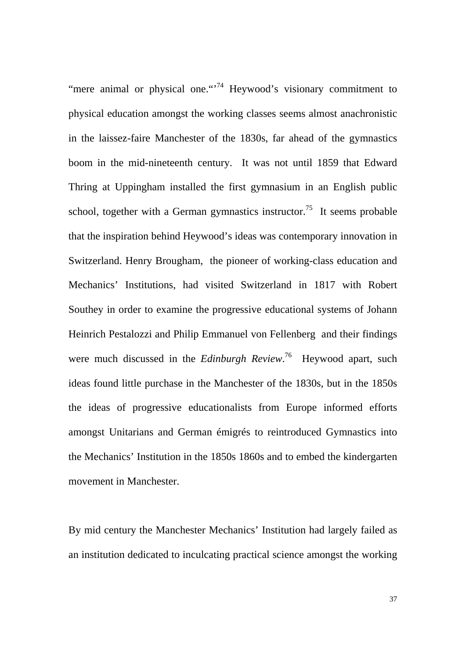"mere animal or physical one."<sup>74</sup> Heywood's visionary commitment to physical education amongst the working classes seems almost anachronistic in the laissez-faire Manchester of the 1830s, far ahead of the gymnastics boom in the mid-nineteenth century. It was not until 1859 that Edward Thring at Uppingham installed the first gymnasium in an English public school, together with a German gymnastics instructor.<sup>75</sup> It seems probable that the inspiration behind Heywood's ideas was contemporary innovation in Switzerland. Henry Brougham, the pioneer of working-class education and Mechanics' Institutions, had visited Switzerland in 1817 with Robert Southey in order to examine the progressive educational systems of Johann Heinrich Pestalozzi and Philip Emmanuel von Fellenberg and their findings were much discussed in the *Edinburgh Review*. 76 Heywood apart, such ideas found little purchase in the Manchester of the 1830s, but in the 1850s the ideas of progressive educationalists from Europe informed efforts amongst Unitarians and German émigrés to reintroduced Gymnastics into the Mechanics' Institution in the 1850s 1860s and to embed the kindergarten movement in Manchester.

By mid century the Manchester Mechanics' Institution had largely failed as an institution dedicated to inculcating practical science amongst the working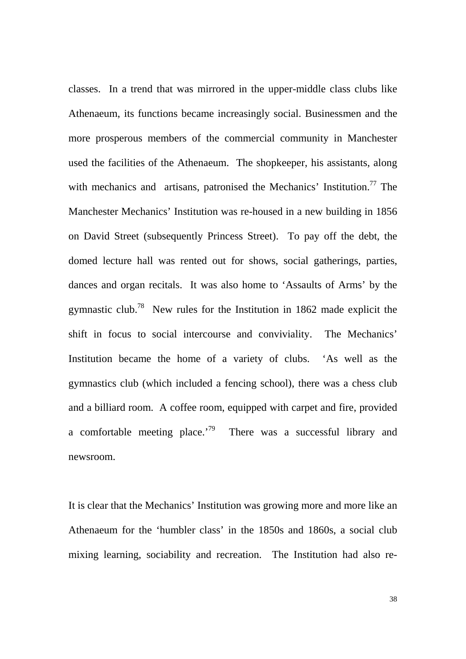classes. In a trend that was mirrored in the upper-middle class clubs like Athenaeum, its functions became increasingly social. Businessmen and the more prosperous members of the commercial community in Manchester used the facilities of the Athenaeum. The shopkeeper, his assistants, along with mechanics and artisans, patronised the Mechanics' Institution.<sup>77</sup> The Manchester Mechanics' Institution was re-housed in a new building in 1856 on David Street (subsequently Princess Street). To pay off the debt, the domed lecture hall was rented out for shows, social gatherings, parties, dances and organ recitals. It was also home to 'Assaults of Arms' by the gymnastic club.<sup>78</sup> New rules for the Institution in 1862 made explicit the shift in focus to social intercourse and conviviality. The Mechanics' Institution became the home of a variety of clubs. 'As well as the gymnastics club (which included a fencing school), there was a chess club and a billiard room. A coffee room, equipped with carpet and fire, provided a comfortable meeting place.<sup>79</sup> There was a successful library and newsroom.

It is clear that the Mechanics' Institution was growing more and more like an Athenaeum for the 'humbler class' in the 1850s and 1860s, a social club mixing learning, sociability and recreation. The Institution had also re-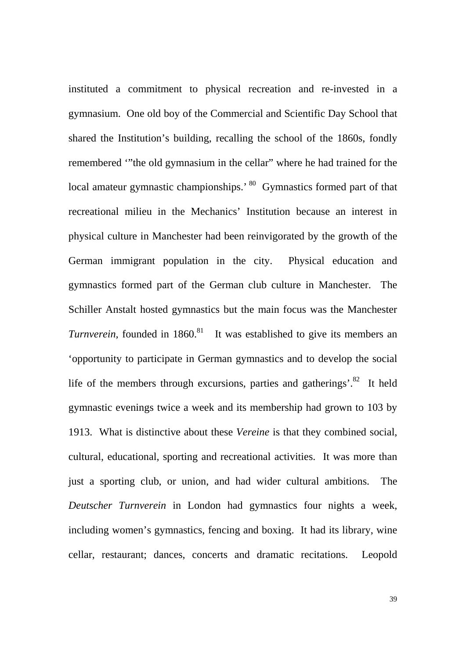instituted a commitment to physical recreation and re-invested in a gymnasium. One old boy of the Commercial and Scientific Day School that shared the Institution's building, recalling the school of the 1860s, fondly remembered '"the old gymnasium in the cellar" where he had trained for the local amateur gymnastic championships.' 80 Gymnastics formed part of that recreational milieu in the Mechanics' Institution because an interest in physical culture in Manchester had been reinvigorated by the growth of the German immigrant population in the city. Physical education and gymnastics formed part of the German club culture in Manchester. The Schiller Anstalt hosted gymnastics but the main focus was the Manchester *Turnverein,* founded in 1860.<sup>81</sup> It was established to give its members an 'opportunity to participate in German gymnastics and to develop the social life of the members through excursions, parties and gatherings'. $82$  It held gymnastic evenings twice a week and its membership had grown to 103 by 1913. What is distinctive about these *Vereine* is that they combined social, cultural, educational, sporting and recreational activities. It was more than just a sporting club, or union, and had wider cultural ambitions. The *Deutscher Turnverein* in London had gymnastics four nights a week, including women's gymnastics, fencing and boxing. It had its library, wine cellar, restaurant; dances, concerts and dramatic recitations. Leopold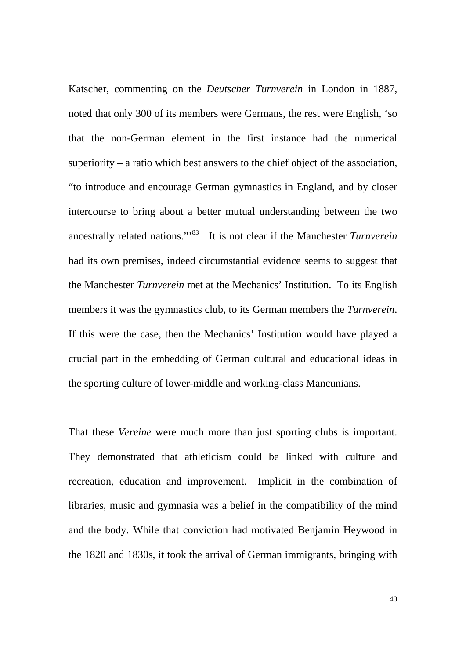Katscher, commenting on the *Deutscher Turnverein* in London in 1887, noted that only 300 of its members were Germans, the rest were English, 'so that the non-German element in the first instance had the numerical superiority – a ratio which best answers to the chief object of the association, "to introduce and encourage German gymnastics in England, and by closer intercourse to bring about a better mutual understanding between the two ancestrally related nations."'83 It is not clear if the Manchester *Turnverein* had its own premises, indeed circumstantial evidence seems to suggest that the Manchester *Turnverein* met at the Mechanics' Institution. To its English members it was the gymnastics club, to its German members the *Turnverein*. If this were the case, then the Mechanics' Institution would have played a crucial part in the embedding of German cultural and educational ideas in the sporting culture of lower-middle and working-class Mancunians.

That these *Vereine* were much more than just sporting clubs is important. They demonstrated that athleticism could be linked with culture and recreation, education and improvement. Implicit in the combination of libraries, music and gymnasia was a belief in the compatibility of the mind and the body. While that conviction had motivated Benjamin Heywood in the 1820 and 1830s, it took the arrival of German immigrants, bringing with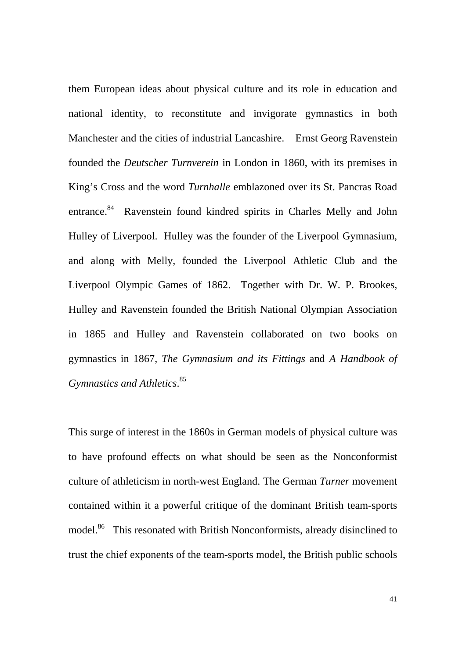them European ideas about physical culture and its role in education and national identity, to reconstitute and invigorate gymnastics in both Manchester and the cities of industrial Lancashire. Ernst Georg Ravenstein founded the *Deutscher Turnverein* in London in 1860, with its premises in King's Cross and the word *Turnhalle* emblazoned over its St. Pancras Road entrance.<sup>84</sup> Ravenstein found kindred spirits in Charles Melly and John Hulley of Liverpool. Hulley was the founder of the Liverpool Gymnasium, and along with Melly, founded the Liverpool Athletic Club and the Liverpool Olympic Games of 1862. Together with Dr. W. P. Brookes, Hulley and Ravenstein founded the British National Olympian Association in 1865 and Hulley and Ravenstein collaborated on two books on gymnastics in 1867, *The Gymnasium and its Fittings* and *A Handbook of Gymnastics and Athletics*. 85

This surge of interest in the 1860s in German models of physical culture was to have profound effects on what should be seen as the Nonconformist culture of athleticism in north-west England. The German *Turner* movement contained within it a powerful critique of the dominant British team-sports model.<sup>86</sup> This resonated with British Nonconformists, already disinclined to trust the chief exponents of the team-sports model, the British public schools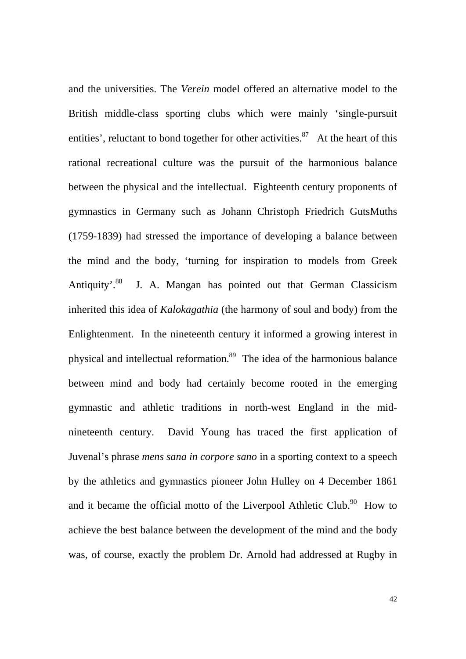and the universities. The *Verein* model offered an alternative model to the British middle-class sporting clubs which were mainly 'single-pursuit entities', reluctant to bond together for other activities.<sup>87</sup> At the heart of this rational recreational culture was the pursuit of the harmonious balance between the physical and the intellectual. Eighteenth century proponents of gymnastics in Germany such as Johann Christoph Friedrich GutsMuths (1759-1839) had stressed the importance of developing a balance between the mind and the body, 'turning for inspiration to models from Greek Antiquity'.<sup>88</sup> J. A. Mangan has pointed out that German Classicism inherited this idea of *Kalokagathia* (the harmony of soul and body) from the Enlightenment. In the nineteenth century it informed a growing interest in physical and intellectual reformation.89 The idea of the harmonious balance between mind and body had certainly become rooted in the emerging gymnastic and athletic traditions in north-west England in the midnineteenth century. David Young has traced the first application of Juvenal's phrase *mens sana in corpore sano* in a sporting context to a speech by the athletics and gymnastics pioneer John Hulley on 4 December 1861 and it became the official motto of the Liverpool Athletic Club.<sup>90</sup> How to achieve the best balance between the development of the mind and the body was, of course, exactly the problem Dr. Arnold had addressed at Rugby in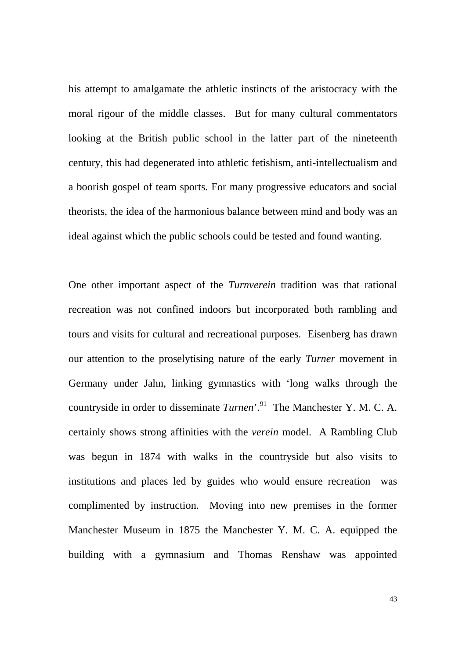his attempt to amalgamate the athletic instincts of the aristocracy with the moral rigour of the middle classes. But for many cultural commentators looking at the British public school in the latter part of the nineteenth century, this had degenerated into athletic fetishism, anti-intellectualism and a boorish gospel of team sports. For many progressive educators and social theorists, the idea of the harmonious balance between mind and body was an ideal against which the public schools could be tested and found wanting.

One other important aspect of the *Turnverein* tradition was that rational recreation was not confined indoors but incorporated both rambling and tours and visits for cultural and recreational purposes. Eisenberg has drawn our attention to the proselytising nature of the early *Turner* movement in Germany under Jahn, linking gymnastics with 'long walks through the countryside in order to disseminate *Turnen*'.91The Manchester Y. M. C. A. certainly shows strong affinities with the *verein* model. A Rambling Club was begun in 1874 with walks in the countryside but also visits to institutions and places led by guides who would ensure recreation was complimented by instruction. Moving into new premises in the former Manchester Museum in 1875 the Manchester Y. M. C. A. equipped the building with a gymnasium and Thomas Renshaw was appointed

43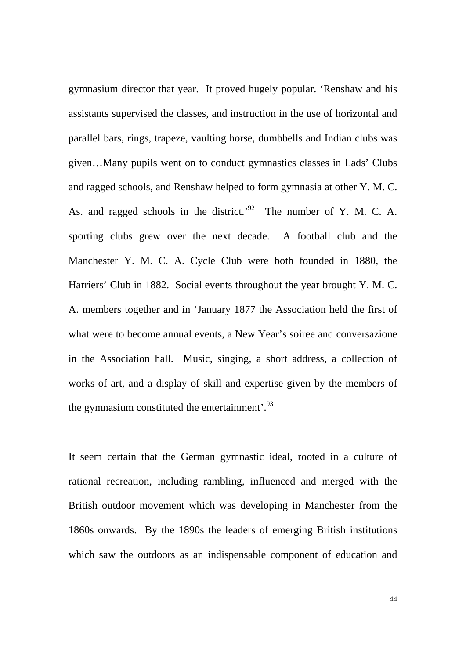gymnasium director that year. It proved hugely popular. 'Renshaw and his assistants supervised the classes, and instruction in the use of horizontal and parallel bars, rings, trapeze, vaulting horse, dumbbells and Indian clubs was given…Many pupils went on to conduct gymnastics classes in Lads' Clubs and ragged schools, and Renshaw helped to form gymnasia at other Y. M. C. As. and ragged schools in the district.<sup>'92</sup> The number of Y. M. C. A. sporting clubs grew over the next decade. A football club and the Manchester Y. M. C. A. Cycle Club were both founded in 1880, the Harriers' Club in 1882. Social events throughout the year brought Y. M. C. A. members together and in 'January 1877 the Association held the first of what were to become annual events, a New Year's soiree and conversazione in the Association hall. Music, singing, a short address, a collection of works of art, and a display of skill and expertise given by the members of the gymnasium constituted the entertainment'. $^{93}$ 

It seem certain that the German gymnastic ideal, rooted in a culture of rational recreation, including rambling, influenced and merged with the British outdoor movement which was developing in Manchester from the 1860s onwards. By the 1890s the leaders of emerging British institutions which saw the outdoors as an indispensable component of education and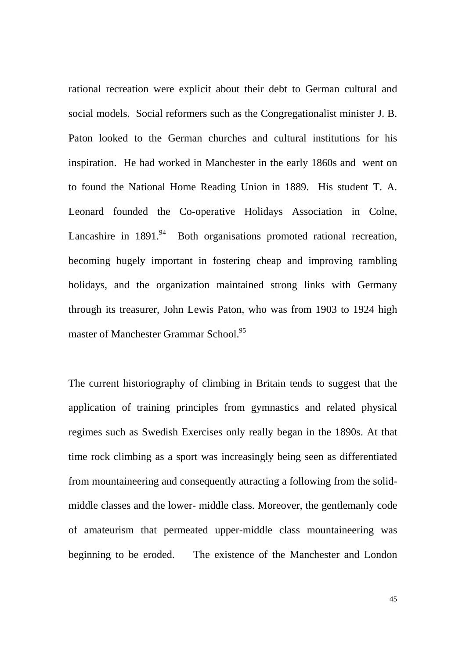rational recreation were explicit about their debt to German cultural and social models. Social reformers such as the Congregationalist minister J. B. Paton looked to the German churches and cultural institutions for his inspiration. He had worked in Manchester in the early 1860s and went on to found the National Home Reading Union in 1889. His student T. A. Leonard founded the Co-operative Holidays Association in Colne, Lancashire in  $1891<sup>94</sup>$  Both organisations promoted rational recreation, becoming hugely important in fostering cheap and improving rambling holidays, and the organization maintained strong links with Germany through its treasurer, John Lewis Paton, who was from 1903 to 1924 high master of Manchester Grammar School.<sup>95</sup>

The current historiography of climbing in Britain tends to suggest that the application of training principles from gymnastics and related physical regimes such as Swedish Exercises only really began in the 1890s. At that time rock climbing as a sport was increasingly being seen as differentiated from mountaineering and consequently attracting a following from the solidmiddle classes and the lower- middle class. Moreover, the gentlemanly code of amateurism that permeated upper-middle class mountaineering was beginning to be eroded. The existence of the Manchester and London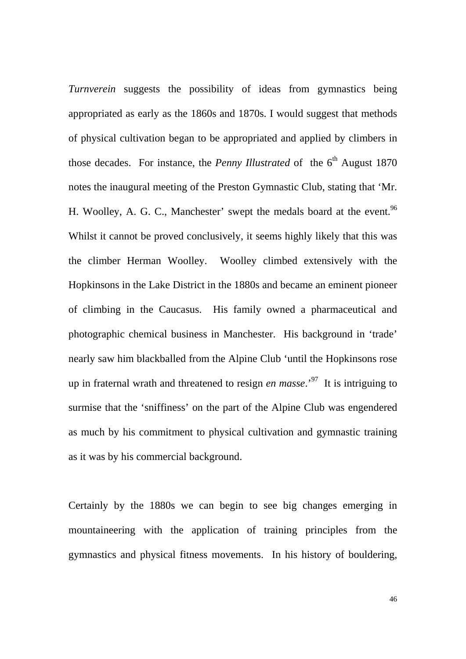*Turnverein* suggests the possibility of ideas from gymnastics being appropriated as early as the 1860s and 1870s. I would suggest that methods of physical cultivation began to be appropriated and applied by climbers in those decades. For instance, the *Penny Illustrated* of the  $6<sup>th</sup>$  August 1870 notes the inaugural meeting of the Preston Gymnastic Club, stating that 'Mr. H. Woolley, A. G. C., Manchester' swept the medals board at the event.<sup>96</sup> Whilst it cannot be proved conclusively, it seems highly likely that this was the climber Herman Woolley. Woolley climbed extensively with the Hopkinsons in the Lake District in the 1880s and became an eminent pioneer of climbing in the Caucasus. His family owned a pharmaceutical and photographic chemical business in Manchester. His background in 'trade' nearly saw him blackballed from the Alpine Club 'until the Hopkinsons rose up in fraternal wrath and threatened to resign *en masse*.'97 It is intriguing to surmise that the 'sniffiness' on the part of the Alpine Club was engendered as much by his commitment to physical cultivation and gymnastic training as it was by his commercial background.

Certainly by the 1880s we can begin to see big changes emerging in mountaineering with the application of training principles from the gymnastics and physical fitness movements. In his history of bouldering,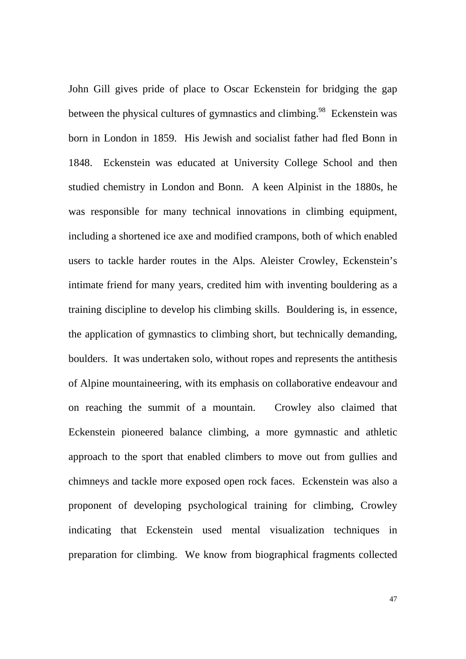John Gill gives pride of place to Oscar Eckenstein for bridging the gap between the physical cultures of gymnastics and climbing.<sup>98</sup> Eckenstein was born in London in 1859. His Jewish and socialist father had fled Bonn in 1848. Eckenstein was educated at University College School and then studied chemistry in London and Bonn. A keen Alpinist in the 1880s, he was responsible for many technical innovations in climbing equipment, including a shortened ice axe and modified crampons, both of which enabled users to tackle harder routes in the Alps. Aleister Crowley, Eckenstein's intimate friend for many years, credited him with inventing bouldering as a training discipline to develop his climbing skills. Bouldering is, in essence, the application of gymnastics to climbing short, but technically demanding, boulders. It was undertaken solo, without ropes and represents the antithesis of Alpine mountaineering, with its emphasis on collaborative endeavour and on reaching the summit of a mountain. Crowley also claimed that Eckenstein pioneered balance climbing, a more gymnastic and athletic approach to the sport that enabled climbers to move out from gullies and chimneys and tackle more exposed open rock faces. Eckenstein was also a proponent of developing psychological training for climbing, Crowley indicating that Eckenstein used mental visualization techniques in preparation for climbing. We know from biographical fragments collected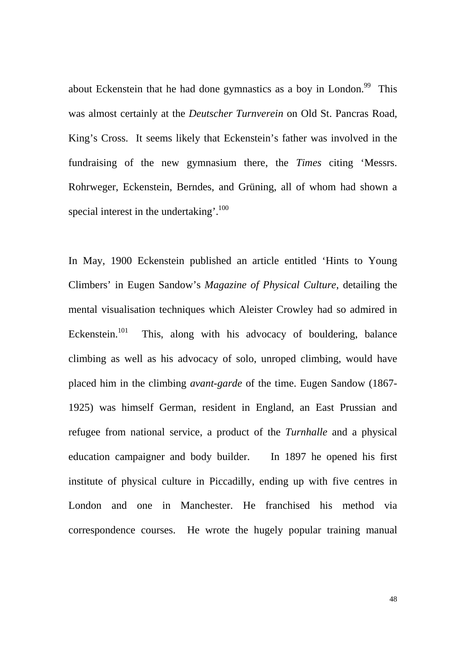about Eckenstein that he had done gymnastics as a boy in London.<sup>99</sup> This was almost certainly at the *Deutscher Turnverein* on Old St. Pancras Road, King's Cross. It seems likely that Eckenstein's father was involved in the fundraising of the new gymnasium there, the *Times* citing 'Messrs. Rohrweger, Eckenstein, Berndes, and Grüning, all of whom had shown a special interest in the undertaking'.<sup>100</sup>

In May, 1900 Eckenstein published an article entitled 'Hints to Young Climbers' in Eugen Sandow's *Magazine of Physical Culture*, detailing the mental visualisation techniques which Aleister Crowley had so admired in Eckenstein.<sup>101</sup> This, along with his advocacy of bouldering, balance climbing as well as his advocacy of solo, unroped climbing, would have placed him in the climbing *avant-garde* of the time. Eugen Sandow (1867- 1925) was himself German, resident in England, an East Prussian and refugee from national service, a product of the *Turnhalle* and a physical education campaigner and body builder. In 1897 he opened his first institute of physical culture in Piccadilly, ending up with five centres in London and one in Manchester. He franchised his method via correspondence courses. He wrote the hugely popular training manual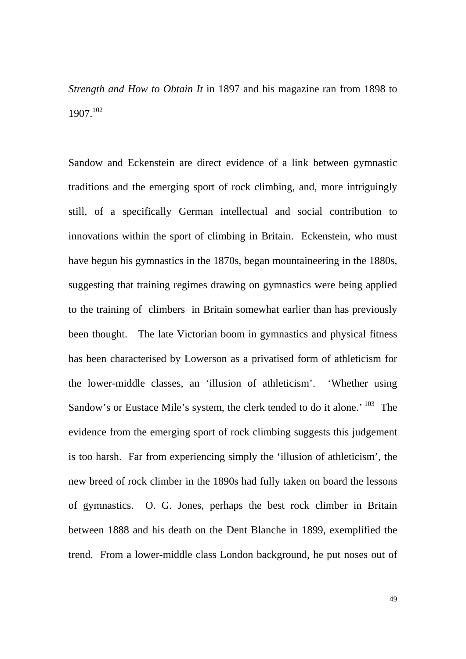*Strength and How to Obtain It* in 1897 and his magazine ran from 1898 to 1907.102

Sandow and Eckenstein are direct evidence of a link between gymnastic traditions and the emerging sport of rock climbing, and, more intriguingly still, of a specifically German intellectual and social contribution to innovations within the sport of climbing in Britain. Eckenstein, who must have begun his gymnastics in the 1870s, began mountaineering in the 1880s, suggesting that training regimes drawing on gymnastics were being applied to the training of climbers in Britain somewhat earlier than has previously been thought. The late Victorian boom in gymnastics and physical fitness has been characterised by Lowerson as a privatised form of athleticism for the lower-middle classes, an 'illusion of athleticism'. 'Whether using Sandow's or Eustace Mile's system, the clerk tended to do it alone.<sup>' 103</sup> The evidence from the emerging sport of rock climbing suggests this judgement is too harsh. Far from experiencing simply the 'illusion of athleticism', the new breed of rock climber in the 1890s had fully taken on board the lessons of gymnastics. O. G. Jones, perhaps the best rock climber in Britain between 1888 and his death on the Dent Blanche in 1899, exemplified the trend. From a lower-middle class London background, he put noses out of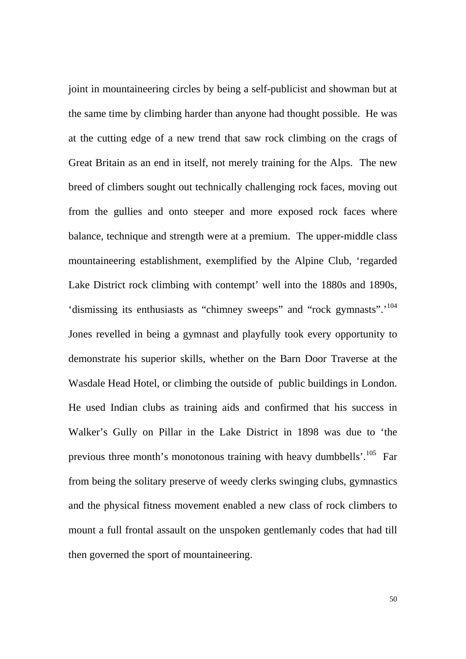joint in mountaineering circles by being a self-publicist and showman but at the same time by climbing harder than anyone had thought possible. He was at the cutting edge of a new trend that saw rock climbing on the crags of Great Britain as an end in itself, not merely training for the Alps. The new breed of climbers sought out technically challenging rock faces, moving out from the gullies and onto steeper and more exposed rock faces where balance, technique and strength were at a premium. The upper-middle class mountaineering establishment, exemplified by the Alpine Club, 'regarded Lake District rock climbing with contempt' well into the 1880s and 1890s, 'dismissing its enthusiasts as "chimney sweeps" and "rock gymnasts".'104 Jones revelled in being a gymnast and playfully took every opportunity to demonstrate his superior skills, whether on the Barn Door Traverse at the Wasdale Head Hotel, or climbing the outside of public buildings in London. He used Indian clubs as training aids and confirmed that his success in Walker's Gully on Pillar in the Lake District in 1898 was due to 'the previous three month's monotonous training with heavy dumbbells'. $^{105}$  Far from being the solitary preserve of weedy clerks swinging clubs, gymnastics and the physical fitness movement enabled a new class of rock climbers to mount a full frontal assault on the unspoken gentlemanly codes that had till then governed the sport of mountaineering.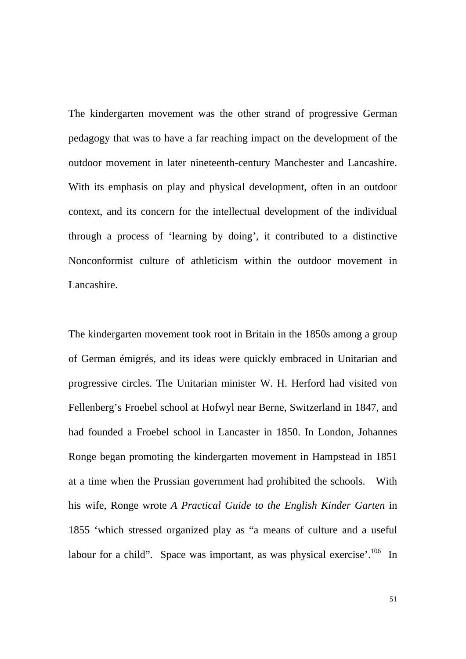The kindergarten movement was the other strand of progressive German pedagogy that was to have a far reaching impact on the development of the outdoor movement in later nineteenth-century Manchester and Lancashire. With its emphasis on play and physical development, often in an outdoor context, and its concern for the intellectual development of the individual through a process of 'learning by doing', it contributed to a distinctive Nonconformist culture of athleticism within the outdoor movement in Lancashire.

The kindergarten movement took root in Britain in the 1850s among a group of German émigrés, and its ideas were quickly embraced in Unitarian and progressive circles. The Unitarian minister W. H. Herford had visited von Fellenberg's Froebel school at Hofwyl near Berne, Switzerland in 1847, and had founded a Froebel school in Lancaster in 1850. In London, Johannes Ronge began promoting the kindergarten movement in Hampstead in 1851 at a time when the Prussian government had prohibited the schools. With his wife, Ronge wrote *A Practical Guide to the English Kinder Garten* in 1855 'which stressed organized play as "a means of culture and a useful labour for a child". Space was important, as was physical exercise'.<sup>106</sup> In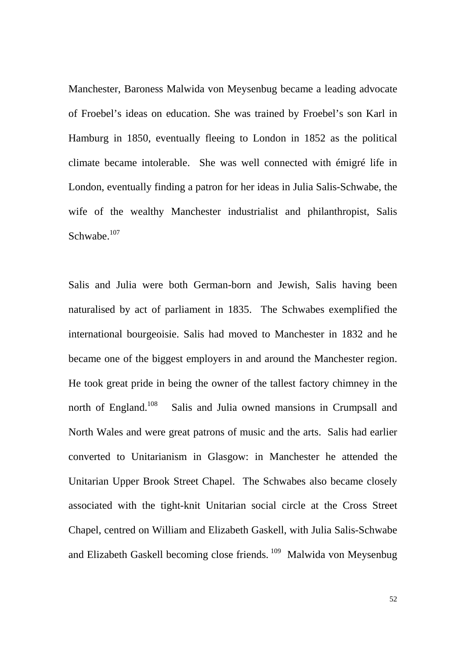Manchester, Baroness Malwida von Meysenbug became a leading advocate of Froebel's ideas on education. She was trained by Froebel's son Karl in Hamburg in 1850, eventually fleeing to London in 1852 as the political climate became intolerable. She was well connected with émigré life in London, eventually finding a patron for her ideas in Julia Salis-Schwabe, the wife of the wealthy Manchester industrialist and philanthropist, Salis Schwabe. $107$ 

Salis and Julia were both German-born and Jewish, Salis having been naturalised by act of parliament in 1835. The Schwabes exemplified the international bourgeoisie. Salis had moved to Manchester in 1832 and he became one of the biggest employers in and around the Manchester region. He took great pride in being the owner of the tallest factory chimney in the north of England.<sup>108</sup> Salis and Julia owned mansions in Crumpsall and North Wales and were great patrons of music and the arts. Salis had earlier converted to Unitarianism in Glasgow: in Manchester he attended the Unitarian Upper Brook Street Chapel. The Schwabes also became closely associated with the tight-knit Unitarian social circle at the Cross Street Chapel, centred on William and Elizabeth Gaskell, with Julia Salis-Schwabe and Elizabeth Gaskell becoming close friends. 109 Malwida von Meysenbug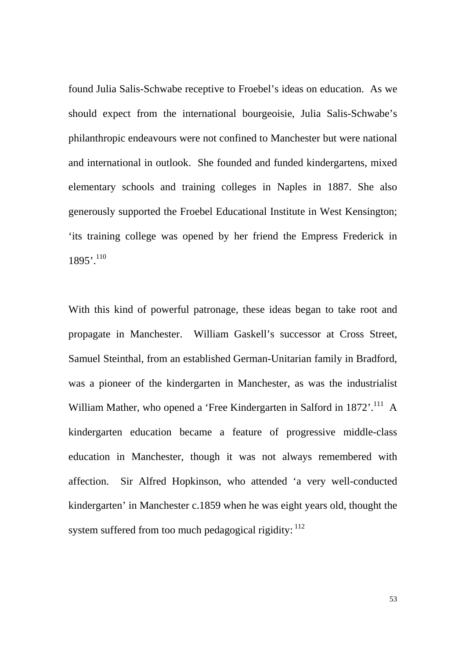found Julia Salis-Schwabe receptive to Froebel's ideas on education. As we should expect from the international bourgeoisie, Julia Salis-Schwabe's philanthropic endeavours were not confined to Manchester but were national and international in outlook. She founded and funded kindergartens, mixed elementary schools and training colleges in Naples in 1887. She also generously supported the Froebel Educational Institute in West Kensington; 'its training college was opened by her friend the Empress Frederick in  $1895'$ <sup>110</sup>

With this kind of powerful patronage, these ideas began to take root and propagate in Manchester. William Gaskell's successor at Cross Street, Samuel Steinthal, from an established German-Unitarian family in Bradford, was a pioneer of the kindergarten in Manchester, as was the industrialist William Mather, who opened a 'Free Kindergarten in Salford in 1872'.<sup>111</sup> A kindergarten education became a feature of progressive middle-class education in Manchester, though it was not always remembered with affection. Sir Alfred Hopkinson, who attended 'a very well-conducted kindergarten' in Manchester c.1859 when he was eight years old, thought the system suffered from too much pedagogical rigidity:  $112$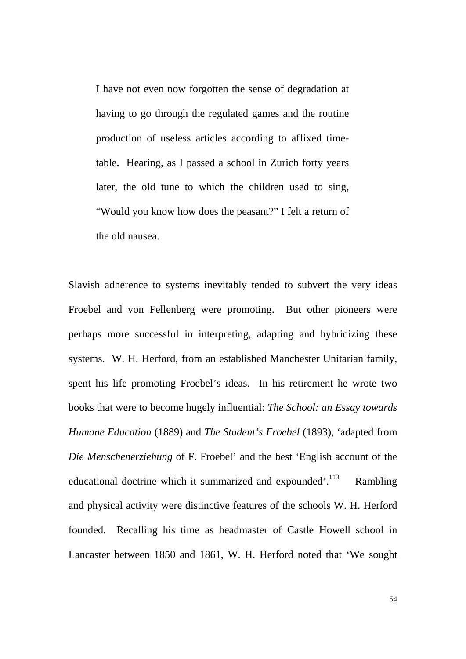I have not even now forgotten the sense of degradation at having to go through the regulated games and the routine production of useless articles according to affixed timetable. Hearing, as I passed a school in Zurich forty years later, the old tune to which the children used to sing, "Would you know how does the peasant?" I felt a return of the old nausea.

Slavish adherence to systems inevitably tended to subvert the very ideas Froebel and von Fellenberg were promoting. But other pioneers were perhaps more successful in interpreting, adapting and hybridizing these systems. W. H. Herford, from an established Manchester Unitarian family, spent his life promoting Froebel's ideas. In his retirement he wrote two books that were to become hugely influential: *The School: an Essay towards Humane Education* (1889) and *The Student's Froebel* (1893), 'adapted from *Die Menschenerziehung* of F. Froebel' and the best 'English account of the educational doctrine which it summarized and expounded'. $^{113}$  Rambling and physical activity were distinctive features of the schools W. H. Herford founded. Recalling his time as headmaster of Castle Howell school in Lancaster between 1850 and 1861, W. H. Herford noted that 'We sought

54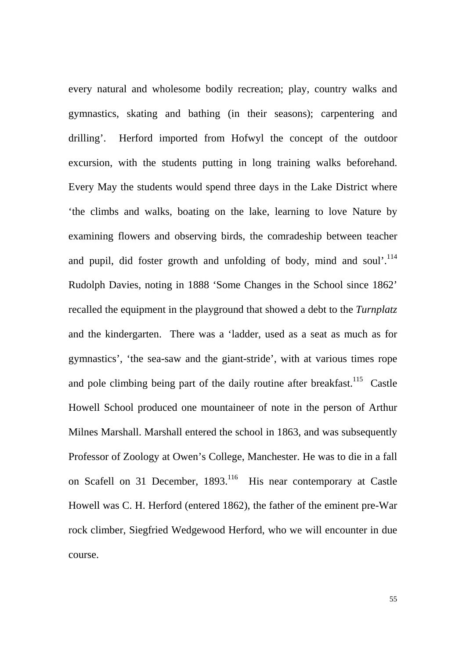every natural and wholesome bodily recreation; play, country walks and gymnastics, skating and bathing (in their seasons); carpentering and drilling'. Herford imported from Hofwyl the concept of the outdoor excursion, with the students putting in long training walks beforehand. Every May the students would spend three days in the Lake District where 'the climbs and walks, boating on the lake, learning to love Nature by examining flowers and observing birds, the comradeship between teacher and pupil, did foster growth and unfolding of body, mind and soul'.<sup>114</sup> Rudolph Davies, noting in 1888 'Some Changes in the School since 1862' recalled the equipment in the playground that showed a debt to the *Turnplatz* and the kindergarten. There was a 'ladder, used as a seat as much as for gymnastics', 'the sea-saw and the giant-stride', with at various times rope and pole climbing being part of the daily routine after breakfast.<sup>115</sup> Castle Howell School produced one mountaineer of note in the person of Arthur Milnes Marshall. Marshall entered the school in 1863, and was subsequently Professor of Zoology at Owen's College, Manchester. He was to die in a fall on Scafell on 31 December, 1893.<sup>116</sup> His near contemporary at Castle Howell was C. H. Herford (entered 1862), the father of the eminent pre-War rock climber, Siegfried Wedgewood Herford, who we will encounter in due course.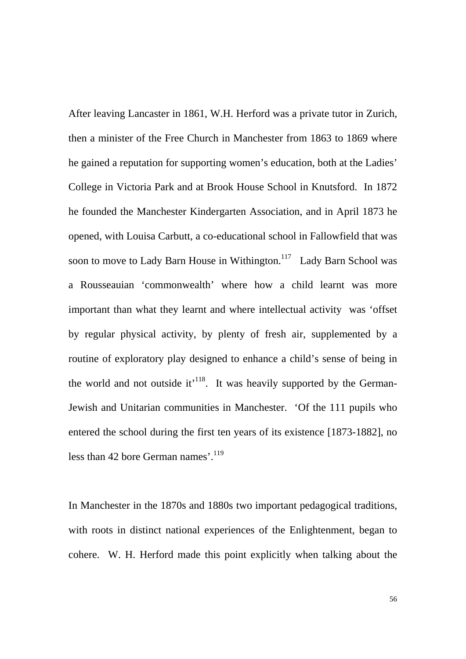After leaving Lancaster in 1861, W.H. Herford was a private tutor in Zurich, then a minister of the Free Church in Manchester from 1863 to 1869 where he gained a reputation for supporting women's education, both at the Ladies' College in Victoria Park and at Brook House School in Knutsford. In 1872 he founded the Manchester Kindergarten Association, and in April 1873 he opened, with Louisa Carbutt, a co-educational school in Fallowfield that was soon to move to Lady Barn House in Withington.<sup>117</sup> Lady Barn School was a Rousseauian 'commonwealth' where how a child learnt was more important than what they learnt and where intellectual activity was 'offset by regular physical activity, by plenty of fresh air, supplemented by a routine of exploratory play designed to enhance a child's sense of being in the world and not outside it<sup> $118$ </sup>. It was heavily supported by the German-Jewish and Unitarian communities in Manchester. 'Of the 111 pupils who entered the school during the first ten years of its existence [1873-1882], no less than 42 bore German names'.<sup>119</sup>

In Manchester in the 1870s and 1880s two important pedagogical traditions, with roots in distinct national experiences of the Enlightenment, began to cohere. W. H. Herford made this point explicitly when talking about the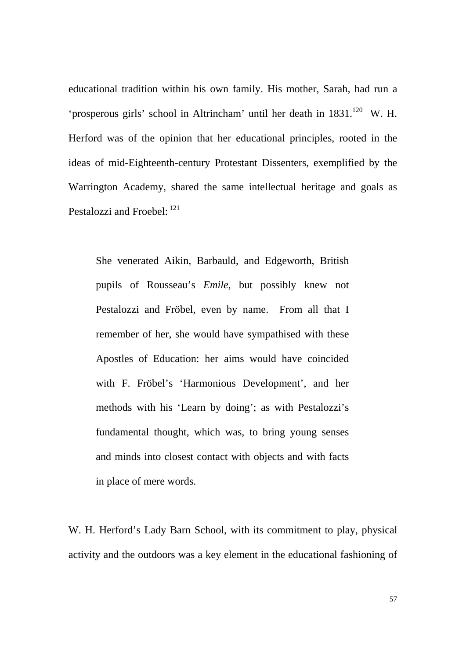educational tradition within his own family. His mother, Sarah, had run a 'prosperous girls' school in Altrincham' until her death in 1831.<sup>120</sup> W. H. Herford was of the opinion that her educational principles, rooted in the ideas of mid-Eighteenth-century Protestant Dissenters, exemplified by the Warrington Academy, shared the same intellectual heritage and goals as Pestalozzi and Froebel: <sup>121</sup>

She venerated Aikin, Barbauld, and Edgeworth, British pupils of Rousseau's *Emile*, but possibly knew not Pestalozzi and Fröbel, even by name. From all that I remember of her, she would have sympathised with these Apostles of Education: her aims would have coincided with F. Fröbel's 'Harmonious Development', and her methods with his 'Learn by doing'; as with Pestalozzi's fundamental thought, which was, to bring young senses and minds into closest contact with objects and with facts in place of mere words.

W. H. Herford's Lady Barn School, with its commitment to play, physical activity and the outdoors was a key element in the educational fashioning of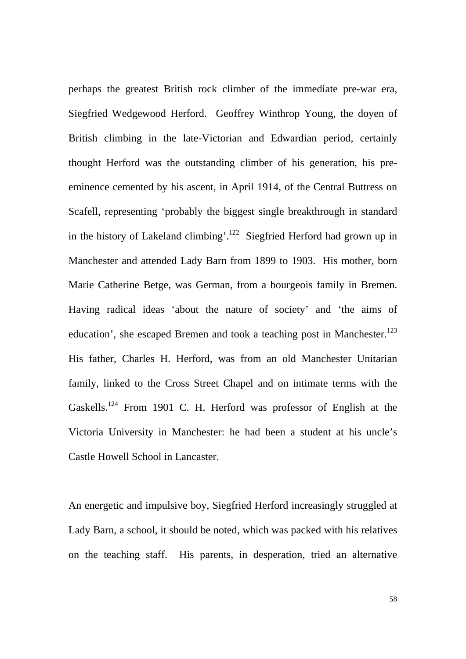perhaps the greatest British rock climber of the immediate pre-war era, Siegfried Wedgewood Herford. Geoffrey Winthrop Young, the doyen of British climbing in the late-Victorian and Edwardian period, certainly thought Herford was the outstanding climber of his generation, his preeminence cemented by his ascent, in April 1914, of the Central Buttress on Scafell, representing 'probably the biggest single breakthrough in standard in the history of Lakeland climbing'.<sup>122</sup> Siegfried Herford had grown up in Manchester and attended Lady Barn from 1899 to 1903. His mother, born Marie Catherine Betge, was German, from a bourgeois family in Bremen. Having radical ideas 'about the nature of society' and 'the aims of education', she escaped Bremen and took a teaching post in Manchester.<sup>123</sup> His father, Charles H. Herford, was from an old Manchester Unitarian family, linked to the Cross Street Chapel and on intimate terms with the Gaskells.<sup>124</sup> From 1901 C. H. Herford was professor of English at the Victoria University in Manchester: he had been a student at his uncle's Castle Howell School in Lancaster.

An energetic and impulsive boy, Siegfried Herford increasingly struggled at Lady Barn, a school, it should be noted, which was packed with his relatives on the teaching staff. His parents, in desperation, tried an alternative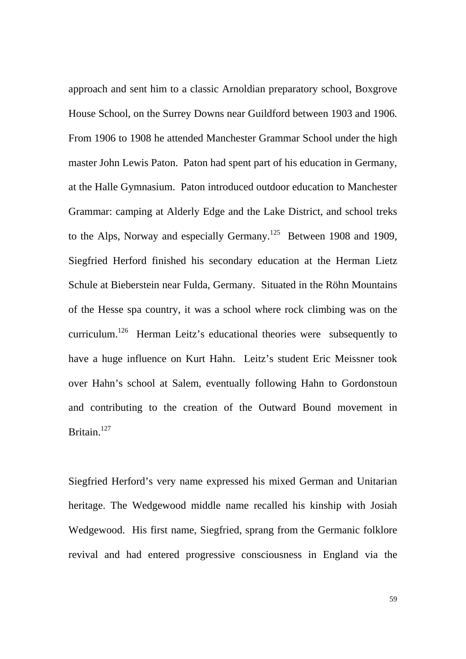approach and sent him to a classic Arnoldian preparatory school, Boxgrove House School, on the Surrey Downs near Guildford between 1903 and 1906. From 1906 to 1908 he attended Manchester Grammar School under the high master John Lewis Paton. Paton had spent part of his education in Germany, at the Halle Gymnasium. Paton introduced outdoor education to Manchester Grammar: camping at Alderly Edge and the Lake District, and school treks to the Alps, Norway and especially Germany.<sup>125</sup> Between 1908 and 1909, Siegfried Herford finished his secondary education at the Herman Lietz Schule at Bieberstein near Fulda, Germany. Situated in the Röhn Mountains of the Hesse spa country, it was a school where rock climbing was on the curriculum.126 Herman Leitz's educational theories were subsequently to have a huge influence on Kurt Hahn. Leitz's student Eric Meissner took over Hahn's school at Salem, eventually following Hahn to Gordonstoun and contributing to the creation of the Outward Bound movement in Britain.<sup>127</sup>

Siegfried Herford's very name expressed his mixed German and Unitarian heritage. The Wedgewood middle name recalled his kinship with Josiah Wedgewood. His first name, Siegfried, sprang from the Germanic folklore revival and had entered progressive consciousness in England via the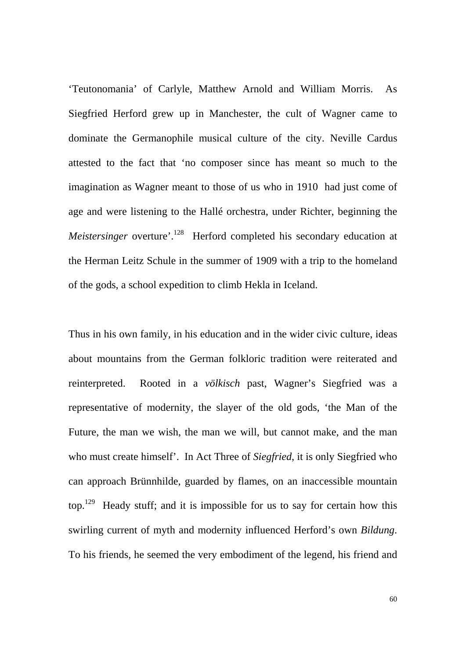'Teutonomania' of Carlyle, Matthew Arnold and William Morris. As Siegfried Herford grew up in Manchester, the cult of Wagner came to dominate the Germanophile musical culture of the city. Neville Cardus attested to the fact that 'no composer since has meant so much to the imagination as Wagner meant to those of us who in 1910 had just come of age and were listening to the Hallé orchestra, under Richter, beginning the *Meistersinger* overture<sup>'.128</sup> Herford completed his secondary education at the Herman Leitz Schule in the summer of 1909 with a trip to the homeland of the gods, a school expedition to climb Hekla in Iceland.

Thus in his own family, in his education and in the wider civic culture, ideas about mountains from the German folkloric tradition were reiterated and reinterpreted. Rooted in a *völkisch* past, Wagner's Siegfried was a representative of modernity, the slayer of the old gods, 'the Man of the Future, the man we wish, the man we will, but cannot make, and the man who must create himself'. In Act Three of *Siegfried*, it is only Siegfried who can approach Brünnhilde, guarded by flames, on an inaccessible mountain top.129 Heady stuff; and it is impossible for us to say for certain how this swirling current of myth and modernity influenced Herford's own *Bildung*. To his friends, he seemed the very embodiment of the legend, his friend and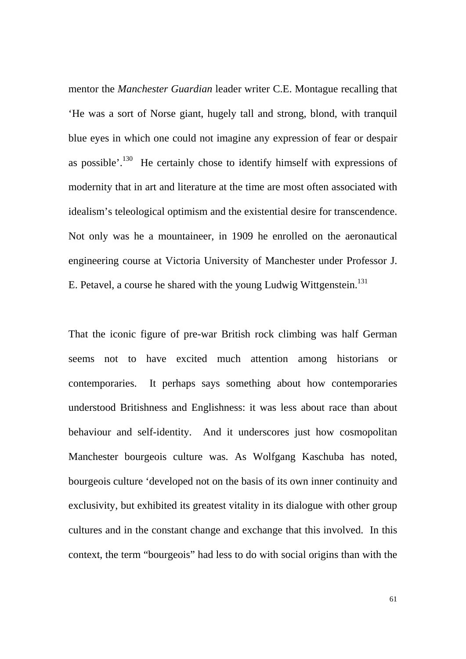mentor the *Manchester Guardian* leader writer C.E. Montague recalling that 'He was a sort of Norse giant, hugely tall and strong, blond, with tranquil blue eyes in which one could not imagine any expression of fear or despair as possible'. $130$  He certainly chose to identify himself with expressions of modernity that in art and literature at the time are most often associated with idealism's teleological optimism and the existential desire for transcendence. Not only was he a mountaineer, in 1909 he enrolled on the aeronautical engineering course at Victoria University of Manchester under Professor J. E. Petavel, a course he shared with the young Ludwig Wittgenstein.<sup>131</sup>

That the iconic figure of pre-war British rock climbing was half German seems not to have excited much attention among historians or contemporaries. It perhaps says something about how contemporaries understood Britishness and Englishness: it was less about race than about behaviour and self-identity. And it underscores just how cosmopolitan Manchester bourgeois culture was. As Wolfgang Kaschuba has noted, bourgeois culture 'developed not on the basis of its own inner continuity and exclusivity, but exhibited its greatest vitality in its dialogue with other group cultures and in the constant change and exchange that this involved. In this context, the term "bourgeois" had less to do with social origins than with the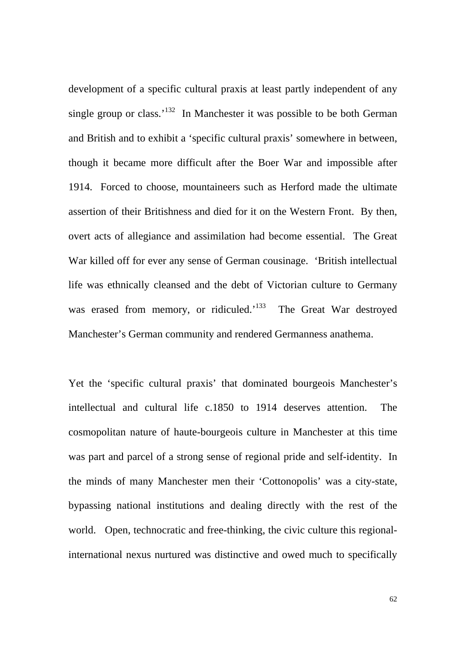development of a specific cultural praxis at least partly independent of any single group or class.<sup>'132</sup> In Manchester it was possible to be both German and British and to exhibit a 'specific cultural praxis' somewhere in between, though it became more difficult after the Boer War and impossible after 1914. Forced to choose, mountaineers such as Herford made the ultimate assertion of their Britishness and died for it on the Western Front. By then, overt acts of allegiance and assimilation had become essential. The Great War killed off for ever any sense of German cousinage. 'British intellectual life was ethnically cleansed and the debt of Victorian culture to Germany was erased from memory, or ridiculed.<sup>133</sup> The Great War destroyed Manchester's German community and rendered Germanness anathema.

Yet the 'specific cultural praxis' that dominated bourgeois Manchester's intellectual and cultural life c.1850 to 1914 deserves attention. The cosmopolitan nature of haute-bourgeois culture in Manchester at this time was part and parcel of a strong sense of regional pride and self-identity. In the minds of many Manchester men their 'Cottonopolis' was a city-state, bypassing national institutions and dealing directly with the rest of the world. Open, technocratic and free-thinking, the civic culture this regionalinternational nexus nurtured was distinctive and owed much to specifically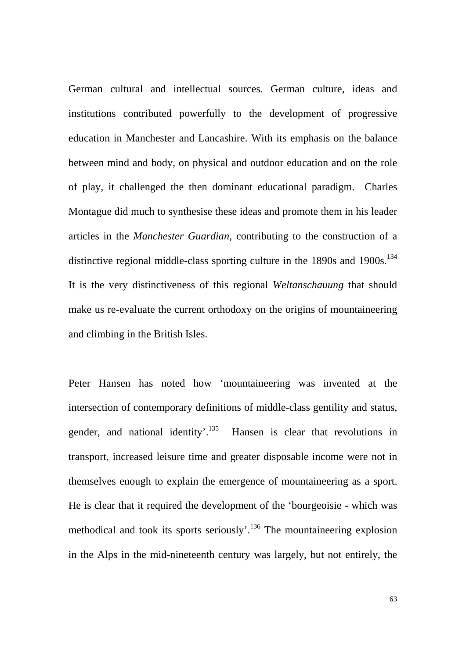German cultural and intellectual sources. German culture, ideas and institutions contributed powerfully to the development of progressive education in Manchester and Lancashire. With its emphasis on the balance between mind and body, on physical and outdoor education and on the role of play, it challenged the then dominant educational paradigm. Charles Montague did much to synthesise these ideas and promote them in his leader articles in the *Manchester Guardian*, contributing to the construction of a distinctive regional middle-class sporting culture in the  $1890s$  and  $1900s$ .<sup>134</sup> It is the very distinctiveness of this regional *Weltanschauung* that should make us re-evaluate the current orthodoxy on the origins of mountaineering and climbing in the British Isles.

Peter Hansen has noted how 'mountaineering was invented at the intersection of contemporary definitions of middle-class gentility and status, gender, and national identity'.<sup>135</sup> Hansen is clear that revolutions in transport, increased leisure time and greater disposable income were not in themselves enough to explain the emergence of mountaineering as a sport. He is clear that it required the development of the 'bourgeoisie - which was methodical and took its sports seriously'.<sup>136</sup> The mountaineering explosion in the Alps in the mid-nineteenth century was largely, but not entirely, the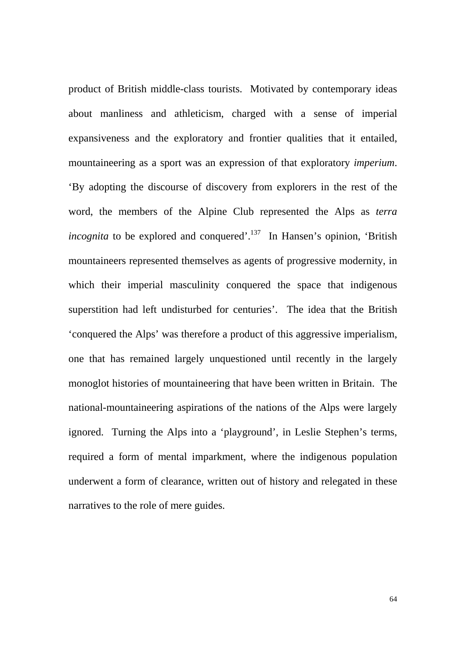product of British middle-class tourists. Motivated by contemporary ideas about manliness and athleticism, charged with a sense of imperial expansiveness and the exploratory and frontier qualities that it entailed, mountaineering as a sport was an expression of that exploratory *imperium*. 'By adopting the discourse of discovery from explorers in the rest of the word, the members of the Alpine Club represented the Alps as *terra incognita* to be explored and conquered'.<sup>137</sup> In Hansen's opinion, 'British' mountaineers represented themselves as agents of progressive modernity, in which their imperial masculinity conquered the space that indigenous superstition had left undisturbed for centuries'. The idea that the British 'conquered the Alps' was therefore a product of this aggressive imperialism, one that has remained largely unquestioned until recently in the largely monoglot histories of mountaineering that have been written in Britain. The national-mountaineering aspirations of the nations of the Alps were largely ignored. Turning the Alps into a 'playground', in Leslie Stephen's terms, required a form of mental imparkment, where the indigenous population underwent a form of clearance, written out of history and relegated in these narratives to the role of mere guides.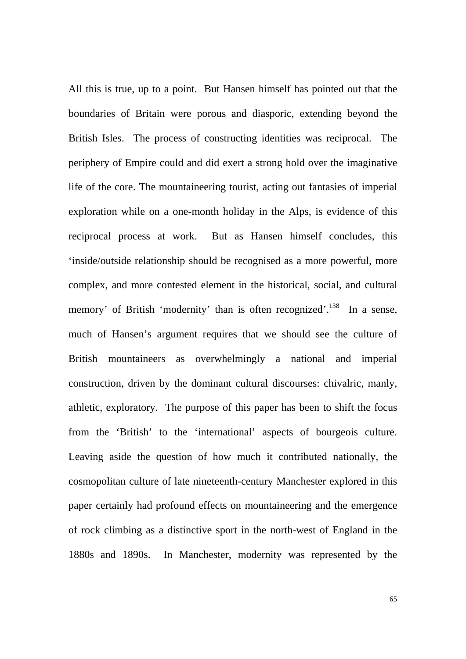All this is true, up to a point. But Hansen himself has pointed out that the boundaries of Britain were porous and diasporic, extending beyond the British Isles. The process of constructing identities was reciprocal. The periphery of Empire could and did exert a strong hold over the imaginative life of the core. The mountaineering tourist, acting out fantasies of imperial exploration while on a one-month holiday in the Alps, is evidence of this reciprocal process at work. But as Hansen himself concludes, this 'inside/outside relationship should be recognised as a more powerful, more complex, and more contested element in the historical, social, and cultural memory' of British 'modernity' than is often recognized'.<sup>138</sup> In a sense, much of Hansen's argument requires that we should see the culture of British mountaineers as overwhelmingly a national and imperial construction, driven by the dominant cultural discourses: chivalric, manly, athletic, exploratory. The purpose of this paper has been to shift the focus from the 'British' to the 'international' aspects of bourgeois culture. Leaving aside the question of how much it contributed nationally, the cosmopolitan culture of late nineteenth-century Manchester explored in this paper certainly had profound effects on mountaineering and the emergence of rock climbing as a distinctive sport in the north-west of England in the 1880s and 1890s. In Manchester, modernity was represented by the

65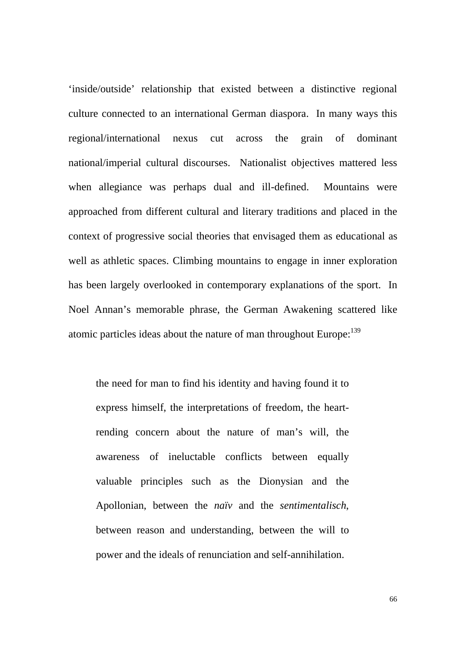'inside/outside' relationship that existed between a distinctive regional culture connected to an international German diaspora. In many ways this regional/international nexus cut across the grain of dominant national/imperial cultural discourses. Nationalist objectives mattered less when allegiance was perhaps dual and ill-defined. Mountains were approached from different cultural and literary traditions and placed in the context of progressive social theories that envisaged them as educational as well as athletic spaces. Climbing mountains to engage in inner exploration has been largely overlooked in contemporary explanations of the sport. In Noel Annan's memorable phrase, the German Awakening scattered like atomic particles ideas about the nature of man throughout Europe:<sup>139</sup>

the need for man to find his identity and having found it to express himself, the interpretations of freedom, the heartrending concern about the nature of man's will, the awareness of ineluctable conflicts between equally valuable principles such as the Dionysian and the Apollonian, between the *naïv* and the *sentimentalisch*, between reason and understanding, between the will to power and the ideals of renunciation and self-annihilation.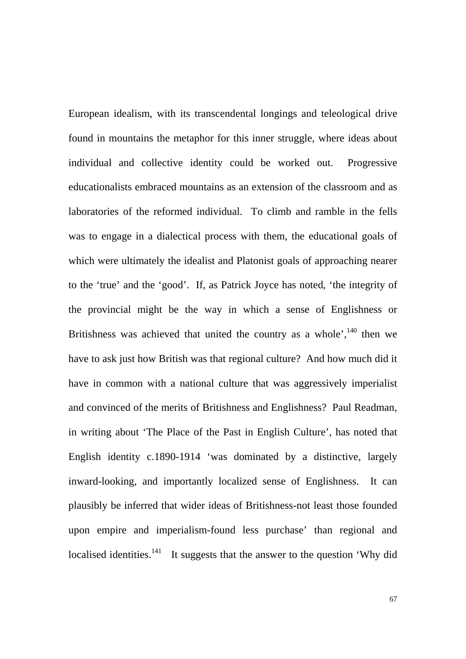European idealism, with its transcendental longings and teleological drive found in mountains the metaphor for this inner struggle, where ideas about individual and collective identity could be worked out. Progressive educationalists embraced mountains as an extension of the classroom and as laboratories of the reformed individual. To climb and ramble in the fells was to engage in a dialectical process with them, the educational goals of which were ultimately the idealist and Platonist goals of approaching nearer to the 'true' and the 'good'. If, as Patrick Joyce has noted, 'the integrity of the provincial might be the way in which a sense of Englishness or Britishness was achieved that united the country as a whole', $^{140}$  then we have to ask just how British was that regional culture? And how much did it have in common with a national culture that was aggressively imperialist and convinced of the merits of Britishness and Englishness? Paul Readman, in writing about 'The Place of the Past in English Culture', has noted that English identity c.1890-1914 'was dominated by a distinctive, largely inward-looking, and importantly localized sense of Englishness. It can plausibly be inferred that wider ideas of Britishness-not least those founded upon empire and imperialism-found less purchase' than regional and localised identities.<sup>141</sup> It suggests that the answer to the question 'Why did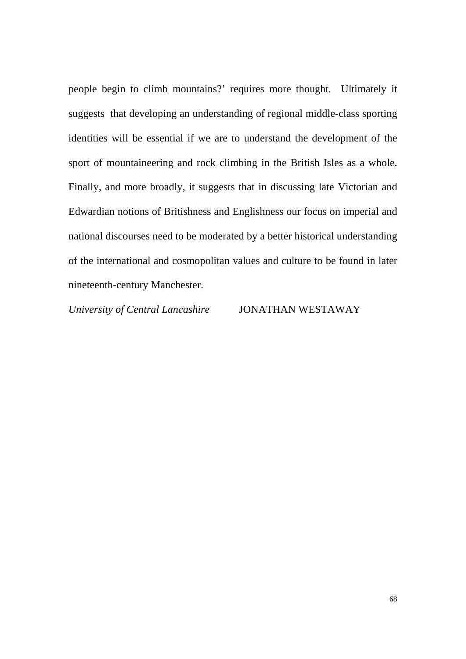people begin to climb mountains?' requires more thought. Ultimately it suggests that developing an understanding of regional middle-class sporting identities will be essential if we are to understand the development of the sport of mountaineering and rock climbing in the British Isles as a whole. Finally, and more broadly, it suggests that in discussing late Victorian and Edwardian notions of Britishness and Englishness our focus on imperial and national discourses need to be moderated by a better historical understanding of the international and cosmopolitan values and culture to be found in later nineteenth-century Manchester.

*University of Central Lancashire* JONATHAN WESTAWAY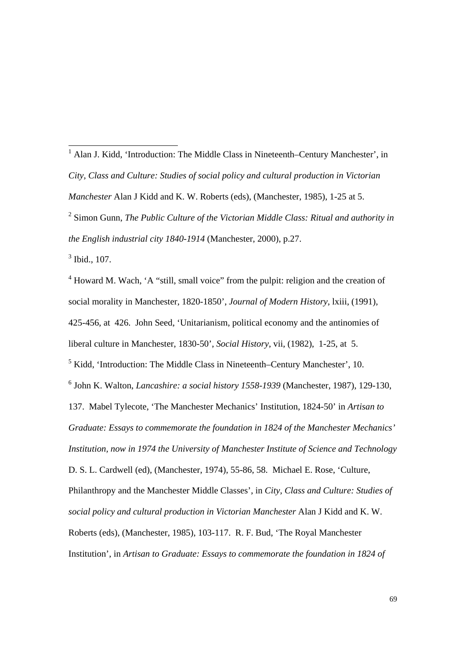<sup>1</sup> Alan J. Kidd, 'Introduction: The Middle Class in Nineteenth–Century Manchester', in *City, Class and Culture: Studies of social policy and cultural production in Victorian Manchester* Alan J Kidd and K. W. Roberts (eds), (Manchester, 1985), 1-25 at 5.

<sup>2</sup> Simon Gunn, *The Public Culture of the Victorian Middle Class: Ritual and authority in the English industrial city 1840-1914* (Manchester, 2000), p.27.

3 Ibid., 107.

<sup>4</sup> Howard M. Wach, 'A "still, small voice" from the pulpit: religion and the creation of social morality in Manchester, 1820-1850', *Journal of Modern History*, lxiii, (1991), 425-456, at 426. John Seed, 'Unitarianism, political economy and the antinomies of liberal culture in Manchester, 1830-50', *Social History*, vii, (1982), 1-25, at 5. <sup>5</sup> Kidd, 'Introduction: The Middle Class in Nineteenth–Century Manchester', 10. 6 John K. Walton, *Lancashire: a social history 1558-1939* (Manchester, 1987), 129-130, 137. Mabel Tylecote, 'The Manchester Mechanics' Institution, 1824-50' in *Artisan to Graduate: Essays to commemorate the foundation in 1824 of the Manchester Mechanics' Institution, now in 1974 the University of Manchester Institute of Science and Technology*  D. S. L. Cardwell (ed), (Manchester, 1974), 55-86, 58. Michael E. Rose, 'Culture, Philanthropy and the Manchester Middle Classes', in *City, Class and Culture: Studies of social policy and cultural production in Victorian Manchester* Alan J Kidd and K. W. Roberts (eds), (Manchester, 1985), 103-117. R. F. Bud, 'The Royal Manchester Institution', in *Artisan to Graduate: Essays to commemorate the foundation in 1824 of*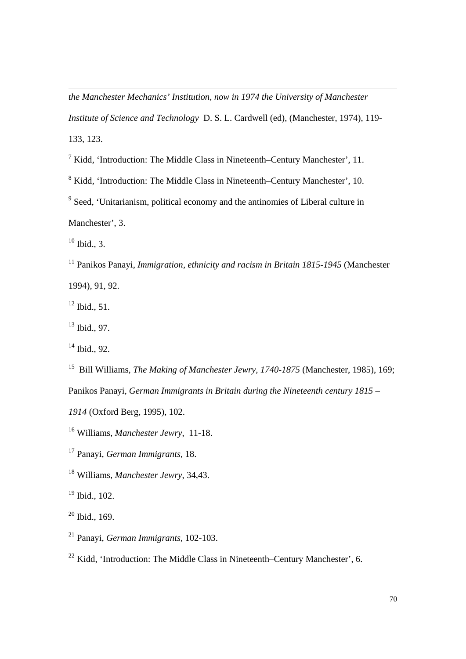*the Manchester Mechanics' Institution, now in 1974 the University of Manchester Institute of Science and Technology* D. S. L. Cardwell (ed), (Manchester, 1974), 119- 133, 123.

<sup>7</sup> Kidd, 'Introduction: The Middle Class in Nineteenth–Century Manchester', 11.

<sup>8</sup> Kidd, 'Introduction: The Middle Class in Nineteenth–Century Manchester', 10.

<sup>9</sup> Seed, 'Unitarianism, political economy and the antinomies of Liberal culture in

Manchester', 3.

 $10$  Ibid., 3.

l

11 Panikos Panayi, *Immigration, ethnicity and racism in Britain 1815-1945* (Manchester 1994), 91, 92.

 $12$  Ibid., 51.

13 Ibid., 97.

 $14$  Ibid., 92.

15 Bill Williams, *The Making of Manchester Jewry, 1740-1875* (Manchester, 1985), 169;

Panikos Panayi, *German Immigrants in Britain during the Nineteenth century 1815 –* 

*1914* (Oxford Berg, 1995), 102.

16 Williams, *Manchester Jewry*, 11-18.

17 Panayi, *German Immigrants*, 18.

18 Williams, *Manchester Jewry*, 34,43.

 $19$  Ibid.,  $102$ .

 $20$  Ibid., 169.

21 Panayi, *German Immigrants*, 102-103.

<sup>22</sup> Kidd, 'Introduction: The Middle Class in Nineteenth–Century Manchester', 6.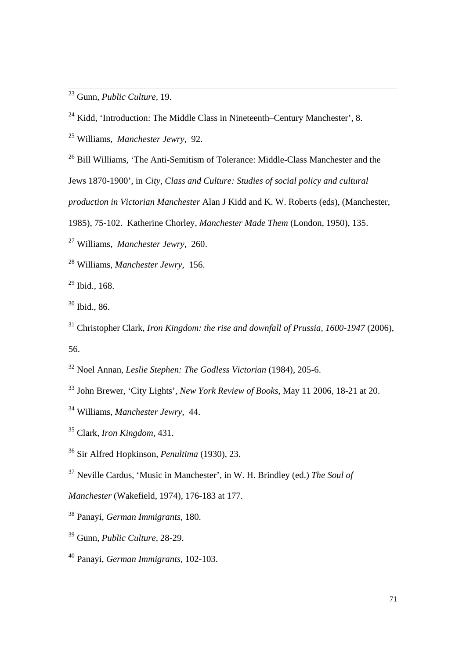23 Gunn, *Public Culture,* 19.

25 Williams, *Manchester Jewry,* 92.

<sup>26</sup> Bill Williams, 'The Anti-Semitism of Tolerance: Middle-Class Manchester and the

Jews 1870-1900', in *City, Class and Culture: Studies of social policy and cultural* 

*production in Victorian Manchester* Alan J Kidd and K. W. Roberts (eds), (Manchester,

1985), 75-102. Katherine Chorley, *Manchester Made Them* (London, 1950), 135.

27 Williams, *Manchester Jewry*, 260.

28 Williams, *Manchester Jewry*, 156.

29 Ibid.*,* 168.

30 Ibid., 86.

31 Christopher Clark, *Iron Kingdom: the rise and downfall of Prussia, 1600-1947* (2006), 56.

32 Noel Annan, *Leslie Stephen: The Godless Victorian* (1984), 205-6.

33 John Brewer, 'City Lights', *New York Review of Books*, May 11 2006, 18-21 at 20.

37 Neville Cardus, 'Music in Manchester', in W. H. Brindley (ed.) *The Soul of* 

*Manchester* (Wakefield, 1974), 176-183 at 177.

38 Panayi, *German Immigrants*, 180.

39 Gunn, *Public Culture,* 28-29.

40 Panayi, *German Immigrants,* 102-103.

 $24$  Kidd, 'Introduction: The Middle Class in Nineteenth–Century Manchester', 8.

<sup>34</sup> Williams, *Manchester Jewry*, 44.

<sup>35</sup> Clark, *Iron Kingdom*, 431.

<sup>36</sup> Sir Alfred Hopkinson, *Penultima* (1930), 23.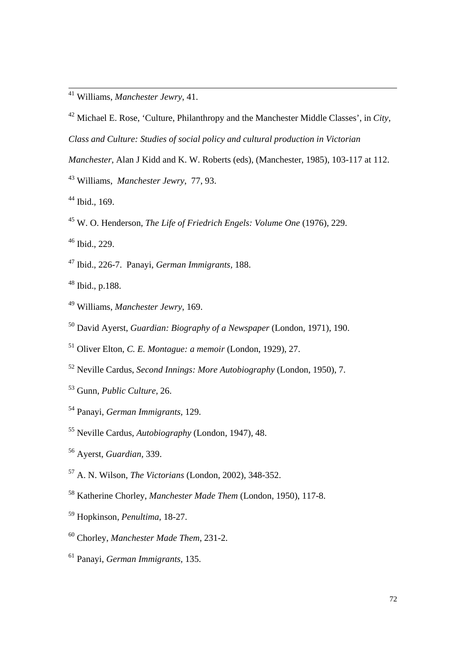- 42 Michael E. Rose, 'Culture, Philanthropy and the Manchester Middle Classes', in *City, Class and Culture: Studies of social policy and cultural production in Victorian*
- *Manchester,* Alan J Kidd and K. W. Roberts (eds), (Manchester, 1985), 103-117 at 112.
- 43 Williams, *Manchester Jewry*, 77, 93.
- 44 Ibid., 169.
- 45 W. O. Henderson, *The Life of Friedrich Engels: Volume One* (1976), 229.
- 46 Ibid., 229.
- 47 Ibid., 226-7. Panayi, *German Immigrants,* 188.
- 48 Ibid., p.188.
- 49 Williams, *Manchester Jewry*, 169.
- 50 David Ayerst, *Guardian: Biography of a Newspaper* (London, 1971), 190.
- 51 Oliver Elton, *C. E. Montague: a memoir* (London, 1929), 27.
- 52 Neville Cardus, *Second Innings: More Autobiography* (London, 1950), 7.
- 53 Gunn, *Public Culture,* 26.
- 54 Panayi, *German Immigrants,* 129.
- 55 Neville Cardus, *Autobiography* (London, 1947), 48.
- 56 Ayerst, *Guardian*, 339.
- 57 A. N. Wilson, *The Victorians* (London, 2002), 348-352.
- 58 Katherine Chorley, *Manchester Made Them* (London, 1950), 117-8.
- 59 Hopkinson, *Penultima*, 18-27.
- 60 Chorley, *Manchester Made Them*, 231-2.
- 61 Panayi, *German Immigrants,* 135.

 <sup>41</sup> Williams, *Manchester Jewry*, 41.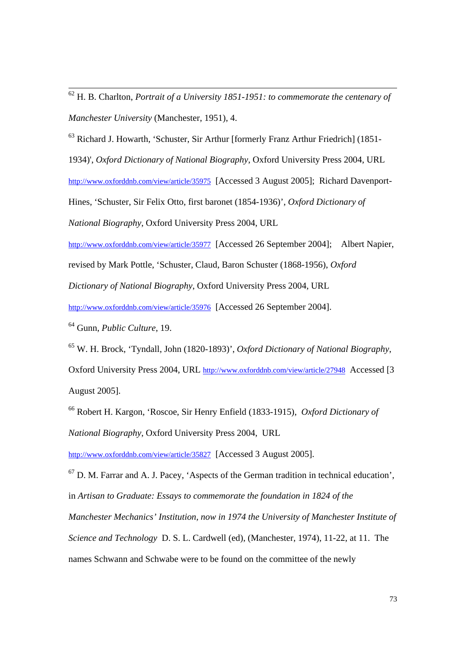62 H. B. Charlton, *Portrait of a University 1851-1951: to commemorate the centenary of Manchester University* (Manchester, 1951), 4.

63 Richard J. Howarth, 'Schuster, Sir Arthur [formerly Franz Arthur Friedrich] (1851-

1934)', *Oxford Dictionary of National Biography*, Oxford University Press 2004, URL

http://www.oxforddnb.com/view/article/35975 [Accessed 3 August 2005]; Richard Davenport-

Hines, 'Schuster, Sir Felix Otto, first baronet (1854-1936)', *Oxford Dictionary of* 

*National Biography*, Oxford University Press 2004, URL

http://www.oxforddnb.com/view/article/35977 [Accessed 26 September 2004]; Albert Napier,

revised by Mark Pottle, 'Schuster, Claud, Baron Schuster (1868-1956), *Oxford* 

*Dictionary of National Biography*, Oxford University Press 2004, URL

http://www.oxforddnb.com/view/article/35976 [Accessed 26 September 2004].

64 Gunn, *Public Culture*, 19.

65 W. H. Brock, 'Tyndall, John (1820-1893)', *Oxford Dictionary of National Biography*, Oxford University Press 2004, URL http://www.oxforddnb.com/view/article/27948 Accessed [3 August 2005].

66 Robert H. Kargon, 'Roscoe, Sir Henry Enfield (1833-1915), *Oxford Dictionary of National Biography*, Oxford University Press 2004, URL

http://www.oxforddnb.com/view/article/35827 [Accessed 3 August 2005].

 $67$  D. M. Farrar and A. J. Pacey, 'Aspects of the German tradition in technical education', in *Artisan to Graduate: Essays to commemorate the foundation in 1824 of the* 

*Manchester Mechanics' Institution, now in 1974 the University of Manchester Institute of* 

*Science and Technology* D. S. L. Cardwell (ed), (Manchester, 1974), 11-22, at 11. The

names Schwann and Schwabe were to be found on the committee of the newly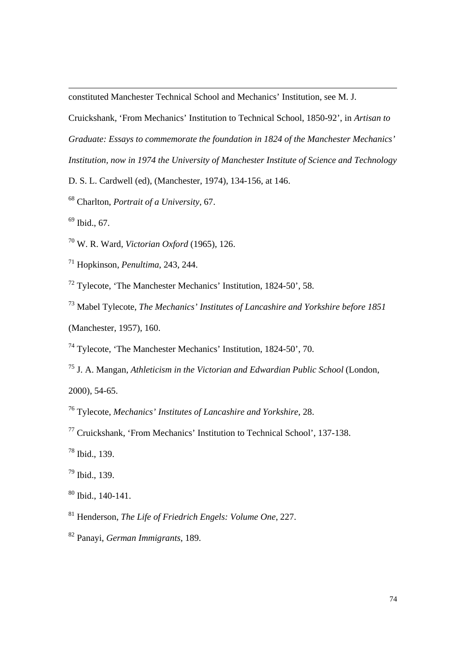constituted Manchester Technical School and Mechanics' Institution, see M. J.

Cruickshank, 'From Mechanics' Institution to Technical School, 1850-92', in *Artisan to Graduate: Essays to commemorate the foundation in 1824 of the Manchester Mechanics' Institution, now in 1974 the University of Manchester Institute of Science and Technology* 

D. S. L. Cardwell (ed), (Manchester, 1974), 134-156, at 146.

- 68 Charlton, *Portrait of a University,* 67.
- $69$  Ibid., 67.

l

- 70 W. R. Ward, *Victorian Oxford* (1965), 126.
- 71 Hopkinson, *Penultima*, 243, 244.
- $72$  Tylecote, 'The Manchester Mechanics' Institution, 1824-50', 58.
- 73 Mabel Tylecote, *The Mechanics' Institutes of Lancashire and Yorkshire before 1851* (Manchester, 1957), 160.
- 74 Tylecote, 'The Manchester Mechanics' Institution, 1824-50', 70.
- 75 J. A. Mangan, *Athleticism in the Victorian and Edwardian Public School* (London, 2000), 54-65.
- 76 Tylecote, *Mechanics' Institutes of Lancashire and Yorkshire*, 28.
- 77 Cruickshank, 'From Mechanics' Institution to Technical School', 137-138.
- 78 Ibid., 139.
- 79 Ibid., 139.
- $80$  Ibid., 140-141.
- 81 Henderson, *The Life of Friedrich Engels: Volume One*, 227.
- 82 Panayi, *German Immigrants*, 189.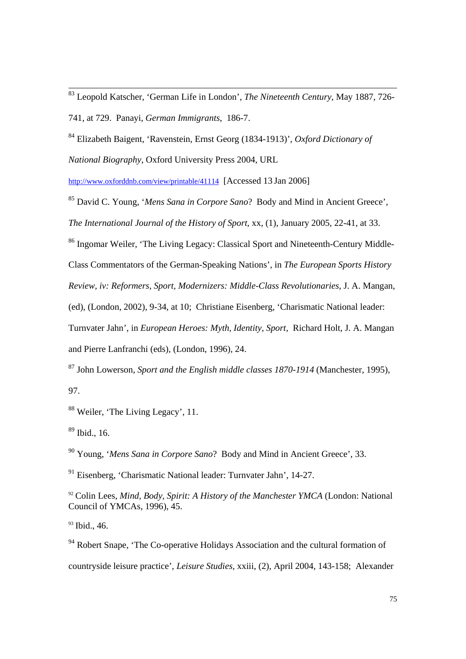83 Leopold Katscher, 'German Life in London', *The Nineteenth Century*, May 1887, 726- 741, at 729. Panayi, *German Immigrants*, 186-7.

84 Elizabeth Baigent, 'Ravenstein, Ernst Georg (1834-1913)', *Oxford Dictionary of* 

*National Biography*, Oxford University Press 2004, URL

http://www.oxforddnb.com/view/printable/41114 [Accessed 13 Jan 2006]

85 David C. Young, '*Mens Sana in Corpore Sano*? Body and Mind in Ancient Greece', *The International Journal of the History of Sport*, xx, (1), January 2005, 22-41, at 33.

<sup>86</sup> Ingomar Weiler, 'The Living Legacy: Classical Sport and Nineteenth-Century Middle-

Class Commentators of the German-Speaking Nations', in *The European Sports History* 

*Review, iv: Reformers, Sport, Modernizers: Middle-Class Revolutionaries*, J. A. Mangan,

(ed), (London, 2002), 9-34, at 10; Christiane Eisenberg, 'Charismatic National leader:

Turnvater Jahn', in *European Heroes: Myth, Identity, Sport,* Richard Holt, J. A. Mangan and Pierre Lanfranchi (eds), (London, 1996), 24.

87 John Lowerson, *Sport and the English middle classes 1870-1914* (Manchester, 1995),

97.

88 Weiler, 'The Living Legacy', 11.

 $89$  Ibid., 16.

90 Young, '*Mens Sana in Corpore Sano*? Body and Mind in Ancient Greece', 33.

91 Eisenberg, 'Charismatic National leader: Turnvater Jahn', 14-27.

<sup>92</sup> Colin Lees, *Mind, Body, Spirit: A History of the Manchester YMCA* (London: National Council of YMCAs, 1996), 45.

<sup>93</sup> Ibid., 46.

<sup>94</sup> Robert Snape, 'The Co-operative Holidays Association and the cultural formation of countryside leisure practice', *Leisure Studies*, xxiii, (2), April 2004, 143-158; Alexander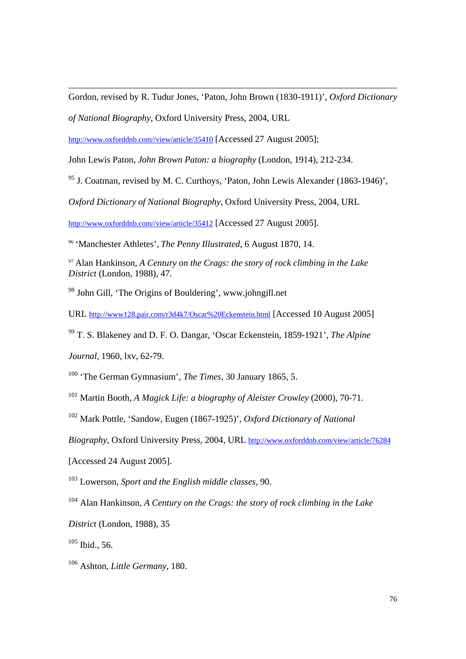Gordon, revised by R. Tudur Jones, 'Paton, John Brown (1830-1911)', *Oxford Dictionary* 

*of National Biography*, Oxford University Press, 2004, URL

http://www.oxforddnb.com//view/article/35410 [Accessed 27 August 2005];

John Lewis Paton, *John Brown Paton: a biography* (London, 1914), 212-234.

 $95$  J. Coatman, revised by M. C. Curthoys, 'Paton, John Lewis Alexander (1863-1946)',

*Oxford Dictionary of National Biography*, Oxford University Press, 2004, URL

http://www.oxforddnb.com//view/article/35412 [Accessed 27 August 2005].

<sup>96</sup> 'Manchester Athletes', *The Penny Illustrated*, 6 August 1870, 14.

<sup>97</sup> Alan Hankinson, *A Century on the Crags: the story of rock climbing in the Lake District* (London, 1988), 47.

98 John Gill, 'The Origins of Bouldering', www.johngill.net

URL http://www128.pair.com/r3d4k7/Oscar%20Eckenstein.html [Accessed 10 August 2005]

99 T. S. Blakeney and D. F. O. Dangar, 'Oscar Eckenstein, 1859-1921', *The Alpine* 

*Journal*, 1960, lxv, 62-79.

l

100 'The German Gymnasium', *The Times*, 30 January 1865, 5.

101 Martin Booth, *A Magick Life: a biography of Aleister Crowley* (2000), 70-71.

102 Mark Pottle, 'Sandow, Eugen (1867-1925)', *Oxford Dictionary of National* 

*Biography*, Oxford University Press, 2004, URL http://www.oxforddnb.com/view/article/76284

[Accessed 24 August 2005].

103 Lowerson, *Sport and the English middle classes*, 90.

104 Alan Hankinson, *A Century on the Crags: the story of rock climbing in the Lake* 

*District* (London, 1988), 35

 $105$  Ibid., 56.

106 Ashton, *Little Germany*, 180.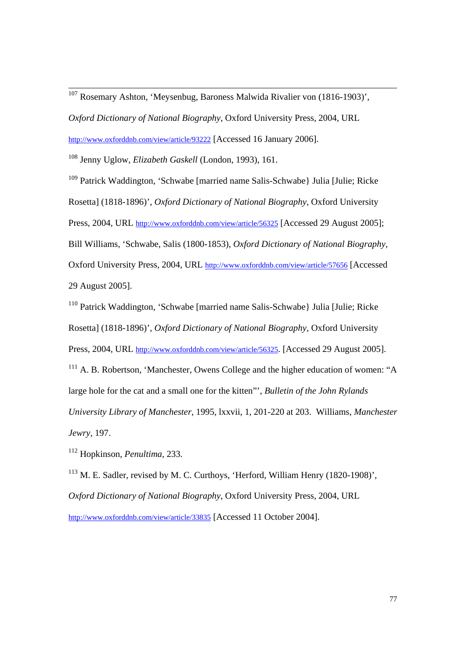107 Rosemary Ashton, 'Meysenbug, Baroness Malwida Rivalier von (1816-1903)',

*Oxford Dictionary of National Biography*, Oxford University Press, 2004, URL

http://www.oxforddnb.com/view/article/93222 [Accessed 16 January 2006].

108 Jenny Uglow, *Elizabeth Gaskell* (London, 1993), 161.

109 Patrick Waddington, 'Schwabe [married name Salis-Schwabe} Julia [Julie; Ricke Rosetta] (1818-1896)', *Oxford Dictionary of National Biography*, Oxford University Press, 2004, URL http://www.oxforddnb.com/view/article/56325 [Accessed 29 August 2005]; Bill Williams, 'Schwabe, Salis (1800-1853), *Oxford Dictionary of National Biography*, Oxford University Press, 2004, URL http://www.oxforddnb.com/view/article/57656 [Accessed 29 August 2005].

110 Patrick Waddington, 'Schwabe [married name Salis-Schwabe} Julia [Julie; Ricke

Rosetta] (1818-1896)', *Oxford Dictionary of National Biography*, Oxford University

Press, 2004, URL http://www.oxforddnb.com/view/article/56325. [Accessed 29 August 2005].

<sup>111</sup> A. B. Robertson, 'Manchester, Owens College and the higher education of women: "A large hole for the cat and a small one for the kitten"', *Bulletin of the John Rylands University Library of Manchester*, 1995, lxxvii, 1, 201-220 at 203. Williams, *Manchester* 

*Jewry*, 197.

112 Hopkinson, *Penultima*, 233.

113 M. E. Sadler, revised by M. C. Curthoys, 'Herford, William Henry (1820-1908)', *Oxford Dictionary of National Biography*, Oxford University Press, 2004, URL http://www.oxforddnb.com/view/article/33835 [Accessed 11 October 2004].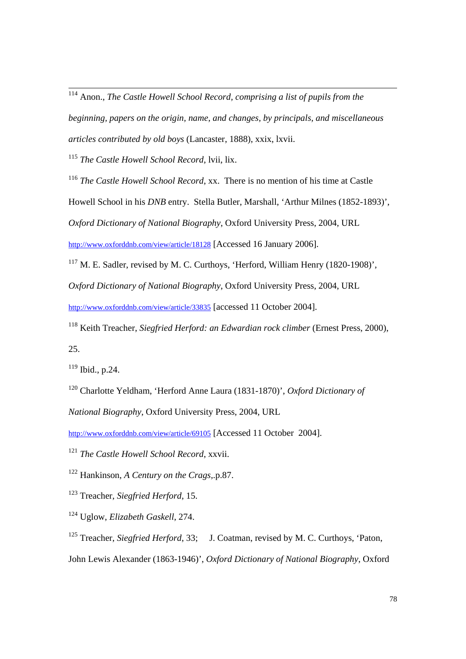114 Anon., *The Castle Howell School Record, comprising a list of pupils from the beginning, papers on the origin, name, and changes, by principals, and miscellaneous articles contributed by old boys* (Lancaster, 1888), xxix, lxvii.

<sup>115</sup> *The Castle Howell School Record*, lvii, lix.

<sup>116</sup> *The Castle Howell School Record*, xx. There is no mention of his time at Castle

Howell School in his *DNB* entry. Stella Butler, Marshall, 'Arthur Milnes (1852-1893)',

*Oxford Dictionary of National Biography*, Oxford University Press, 2004, URL

http://www.oxforddnb.com/view/article/18128 [Accessed 16 January 2006].

<sup>117</sup> M. E. Sadler, revised by M. C. Curthoys, 'Herford, William Henry (1820-1908)',

*Oxford Dictionary of National Biography*, Oxford University Press, 2004, URL

http://www.oxforddnb.com/view/article/33835 [accessed 11 October 2004].

118 Keith Treacher, *Siegfried Herford: an Edwardian rock climber* (Ernest Press, 2000), 25.

119 Ibid., p.24.

120 Charlotte Yeldham, 'Herford Anne Laura (1831-1870)', *Oxford Dictionary of* 

*National Biography*, Oxford University Press, 2004, URL

http://www.oxforddnb.com/view/article/69105 [Accessed 11 October 2004].

<sup>121</sup> *The Castle Howell School Record*, xxvii.

122 Hankinson, *A Century on the Crags,*.p.87.

123 Treacher, *Siegfried Herford*, 15.

124 Uglow, *Elizabeth Gaskell*, 274.

<sup>125</sup> Treacher, *Siegfried Herford*, 33; J. Coatman, revised by M. C. Curthoys, 'Paton,

John Lewis Alexander (1863-1946)', *Oxford Dictionary of National Biography*, Oxford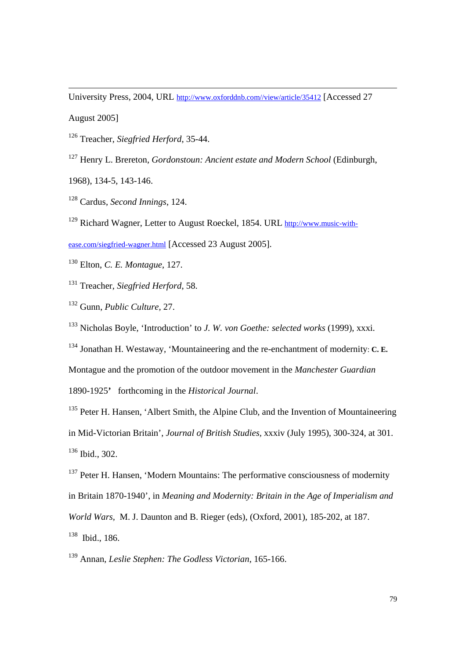University Press, 2004, URL http://www.oxforddnb.com//view/article/35412 [Accessed 27

August 2005]

l

126 Treacher, *Siegfried Herford*, 35-44.

127 Henry L. Brereton, *Gordonstoun: Ancient estate and Modern School* (Edinburgh,

1968), 134-5, 143-146.

128 Cardus, *Second Innings*, 124.

129 Richard Wagner, Letter to August Roeckel, 1854. URL http://www.music-with-

ease.com/siegfried-wagner.html [Accessed 23 August 2005].

130 Elton, *C. E. Montague*, 127.

131 Treacher, *Siegfried Herford*, 58.

132 Gunn, *Public Culture,* 27.

133 Nicholas Boyle, 'Introduction' to *J. W. von Goethe: selected works* (1999), xxxi.

134 Jonathan H. Westaway, 'Mountaineering and the re-enchantment of modernity: **C. E.** 

Montague and the promotion of the outdoor movement in the *Manchester Guardian*

1890-1925**'** forthcoming in the *Historical Journal*.

<sup>135</sup> Peter H. Hansen, 'Albert Smith, the Alpine Club, and the Invention of Mountaineering in Mid-Victorian Britain', *Journal of British Studies,* xxxiv (July 1995), 300-324, at 301. 136 Ibid., 302.

<sup>137</sup> Peter H. Hansen, 'Modern Mountains: The performative consciousness of modernity in Britain 1870-1940', in *Meaning and Modernity: Britain in the Age of Imperialism and World Wars,* M. J. Daunton and B. Rieger (eds), (Oxford, 2001), 185-202, at 187. 138 Ibid., 186.

139 Annan, *Leslie Stephen: The Godless Victorian*, 165-166.